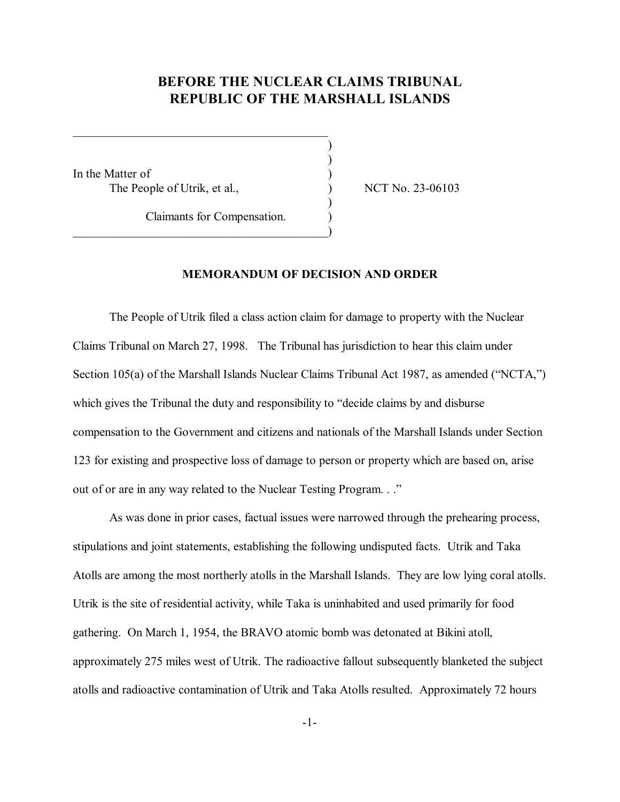# **BEFORE THE NUCLEAR CLAIMS TRIBUNAL REPUBLIC OF THE MARSHALL ISLANDS**

) )

)

In the Matter of The People of Utrik, et al.,  $NCT No. 23-06103$ 

Claimants for Compensation. )

 $\qquad \qquad \qquad \qquad \qquad \qquad \qquad$ 

 $\mathcal{L}_\text{max}$ 

# **MEMORANDUM OF DECISION AND ORDER**

The People of Utrik filed a class action claim for damage to property with the Nuclear Claims Tribunal on March 27, 1998. The Tribunal has jurisdiction to hear this claim under Section 105(a) of the Marshall Islands Nuclear Claims Tribunal Act 1987, as amended ("NCTA,") which gives the Tribunal the duty and responsibility to "decide claims by and disburse" compensation to the Government and citizens and nationals of the Marshall Islands under Section 123 for existing and prospective loss of damage to person or property which are based on, arise out of or are in any way related to the Nuclear Testing Program. . ...

As was done in prior cases, factual issues were narrowed through the prehearing process, stipulations and joint statements, establishing the following undisputed facts. Utrik and Taka Atolls are among the most northerly atolls in the Marshall Islands. They are low lying coral atolls. Utrik is the site of residential activity, while Taka is uninhabited and used primarily for food gathering. On March 1, 1954, the BRAVO atomic bomb was detonated at Bikini atoll, approximately 275 miles west of Utrik. The radioactive fallout subsequently blanketed the subject atolls and radioactive contamination of Utrik and Taka Atolls resulted. Approximately 72 hours

-1-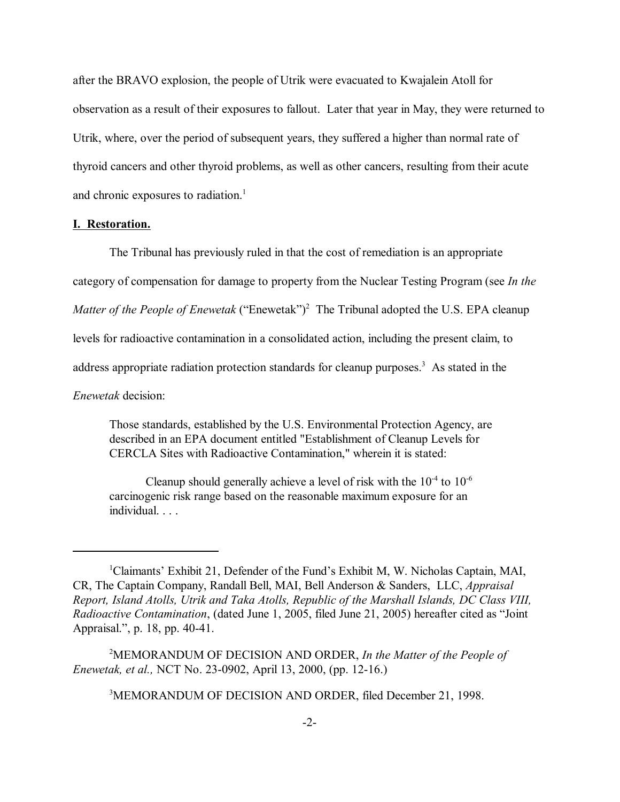after the BRAVO explosion, the people of Utrik were evacuated to Kwajalein Atoll for observation as a result of their exposures to fallout. Later that year in May, they were returned to Utrik, where, over the period of subsequent years, they suffered a higher than normal rate of thyroid cancers and other thyroid problems, as well as other cancers, resulting from their acute and chronic exposures to radiation.<sup>1</sup>

#### **I. Restoration.**

The Tribunal has previously ruled in that the cost of remediation is an appropriate category of compensation for damage to property from the Nuclear Testing Program (see *In the Matter of the People of Enewetak* ("Enewetak")<sup>2</sup> The Tribunal adopted the U.S. EPA cleanup levels for radioactive contamination in a consolidated action, including the present claim, to address appropriate radiation protection standards for cleanup purposes.<sup>3</sup> As stated in the *Enewetak* decision:

Those standards, established by the U.S. Environmental Protection Agency, are described in an EPA document entitled "Establishment of Cleanup Levels for CERCLA Sites with Radioactive Contamination," wherein it is stated:

Cleanup should generally achieve a level of risk with the  $10^{-4}$  to  $10^{-6}$ carcinogenic risk range based on the reasonable maximum exposure for an individual. . . .

2 MEMORANDUM OF DECISION AND ORDER, *In the Matter of the People of Enewetak, et al.,* NCT No. 23-0902, April 13, 2000, (pp. 12-16.)

3 MEMORANDUM OF DECISION AND ORDER, filed December 21, 1998.

<sup>&</sup>lt;sup>1</sup>Claimants' Exhibit 21, Defender of the Fund's Exhibit M, W. Nicholas Captain, MAI, CR, The Captain Company, Randall Bell, MAI, Bell Anderson & Sanders, LLC, *Appraisal Report, Island Atolls, Utrik and Taka Atolls, Republic of the Marshall Islands, DC Class VIII, Radioactive Contamination*, (dated June 1, 2005, filed June 21, 2005) hereafter cited as "Joint Appraisal.", p. 18, pp. 40-41.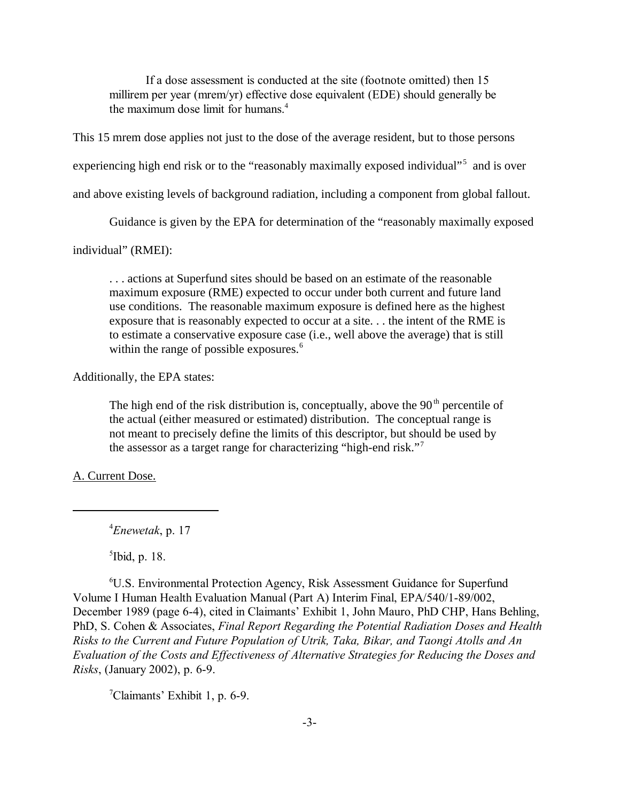If a dose assessment is conducted at the site (footnote omitted) then 15 millirem per year (mrem/yr) effective dose equivalent (EDE) should generally be the maximum dose limit for humans.<sup>4</sup>

This 15 mrem dose applies not just to the dose of the average resident, but to those persons

experiencing high end risk or to the "reasonably maximally exposed individual"<sup>5</sup> and is over

and above existing levels of background radiation, including a component from global fallout.

Guidance is given by the EPA for determination of the "reasonably maximally exposed

individual" (RMEI):

. . . actions at Superfund sites should be based on an estimate of the reasonable maximum exposure (RME) expected to occur under both current and future land use conditions. The reasonable maximum exposure is defined here as the highest exposure that is reasonably expected to occur at a site. . . the intent of the RME is to estimate a conservative exposure case (i.e., well above the average) that is still within the range of possible exposures.<sup>6</sup>

Additionally, the EPA states:

The high end of the risk distribution is, conceptually, above the  $90<sup>th</sup>$  percentile of the actual (either measured or estimated) distribution. The conceptual range is not meant to precisely define the limits of this descriptor, but should be used by the assessor as a target range for characterizing "high-end risk."<sup>7</sup>

A. Current Dose.

4 *Enewetak*, p. 17

5 Ibid, p. 18.

6 U.S. Environmental Protection Agency, Risk Assessment Guidance for Superfund Volume I Human Health Evaluation Manual (Part A) Interim Final, EPA/540/1-89/002, December 1989 (page 6-4), cited in Claimants' Exhibit 1, John Mauro, PhD CHP, Hans Behling, PhD, S. Cohen & Associates, *Final Report Regarding the Potential Radiation Doses and Health Risks to the Current and Future Population of Utrik, Taka, Bikar, and Taongi Atolls and An Evaluation of the Costs and Effectiveness of Alternative Strategies for Reducing the Doses and Risks*, (January 2002), p. 6-9.

 $7$ Claimants' Exhibit 1, p. 6-9.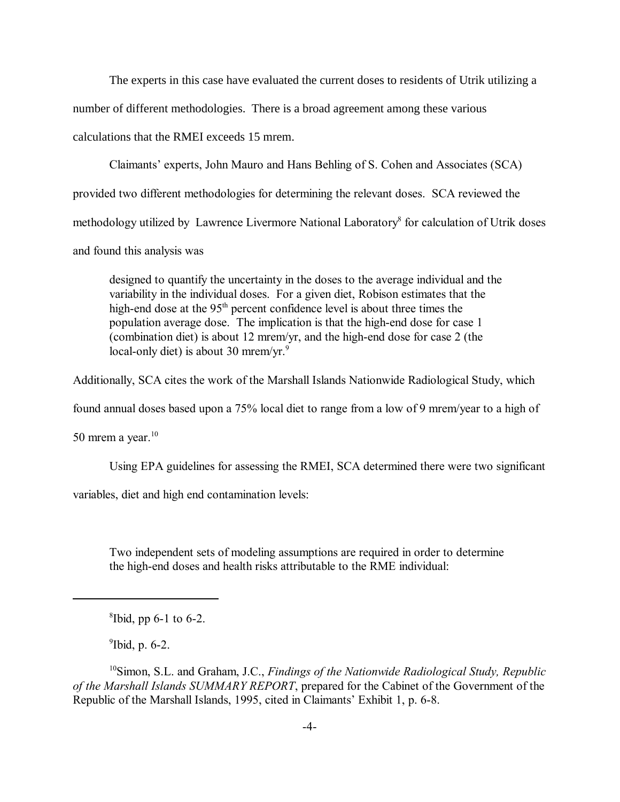The experts in this case have evaluated the current doses to residents of Utrik utilizing a number of different methodologies. There is a broad agreement among these various calculations that the RMEI exceeds 15 mrem.

Claimantsí experts, John Mauro and Hans Behling of S. Cohen and Associates (SCA) provided two different methodologies for determining the relevant doses. SCA reviewed the methodology utilized by Lawrence Livermore National Laboratory<sup>8</sup> for calculation of Utrik doses and found this analysis was

designed to quantify the uncertainty in the doses to the average individual and the variability in the individual doses. For a given diet, Robison estimates that the high-end dose at the 95<sup>th</sup> percent confidence level is about three times the population average dose. The implication is that the high-end dose for case 1 (combination diet) is about 12 mrem/yr, and the high-end dose for case 2 (the local-only diet) is about 30 mrem/yr. $9$ 

Additionally, SCA cites the work of the Marshall Islands Nationwide Radiological Study, which

found annual doses based upon a 75% local diet to range from a low of 9 mrem/year to a high of

50 mrem a year. $10$ 

Using EPA guidelines for assessing the RMEI, SCA determined there were two significant

variables, diet and high end contamination levels:

Two independent sets of modeling assumptions are required in order to determine the high-end doses and health risks attributable to the RME individual:

 $9$ Ibid, p. 6-2.

10Simon, S.L. and Graham, J.C., *Findings of the Nationwide Radiological Study, Republic of the Marshall Islands SUMMARY REPORT*, prepared for the Cabinet of the Government of the Republic of the Marshall Islands, 1995, cited in Claimants' Exhibit 1, p. 6-8.

<sup>8</sup> Ibid, pp 6-1 to 6-2.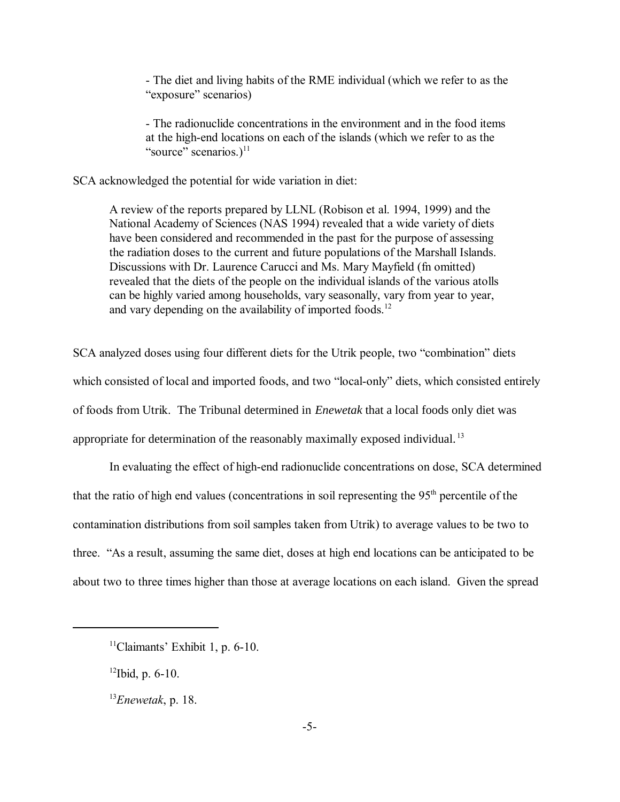- The diet and living habits of the RME individual (which we refer to as the "exposure" scenarios)

- The radionuclide concentrations in the environment and in the food items at the high-end locations on each of the islands (which we refer to as the "source" scenarios.) $11$ 

SCA acknowledged the potential for wide variation in diet:

A review of the reports prepared by LLNL (Robison et al. 1994, 1999) and the National Academy of Sciences (NAS 1994) revealed that a wide variety of diets have been considered and recommended in the past for the purpose of assessing the radiation doses to the current and future populations of the Marshall Islands. Discussions with Dr. Laurence Carucci and Ms. Mary Mayfield (fn omitted) revealed that the diets of the people on the individual islands of the various atolls can be highly varied among households, vary seasonally, vary from year to year, and vary depending on the availability of imported foods.<sup>12</sup>

SCA analyzed doses using four different diets for the Utrik people, two "combination" diets which consisted of local and imported foods, and two "local-only" diets, which consisted entirely of foods from Utrik. The Tribunal determined in *Enewetak* that a local foods only diet was appropriate for determination of the reasonably maximally exposed individual. <sup>13</sup>

In evaluating the effect of high-end radionuclide concentrations on dose, SCA determined that the ratio of high end values (concentrations in soil representing the  $95<sup>th</sup>$  percentile of the contamination distributions from soil samples taken from Utrik) to average values to be two to three. "As a result, assuming the same diet, doses at high end locations can be anticipated to be about two to three times higher than those at average locations on each island. Given the spread

 $11$ Claimants' Exhibit 1, p. 6-10.

 $12$ Ibid, p. 6-10.

<sup>13</sup>*Enewetak*, p. 18.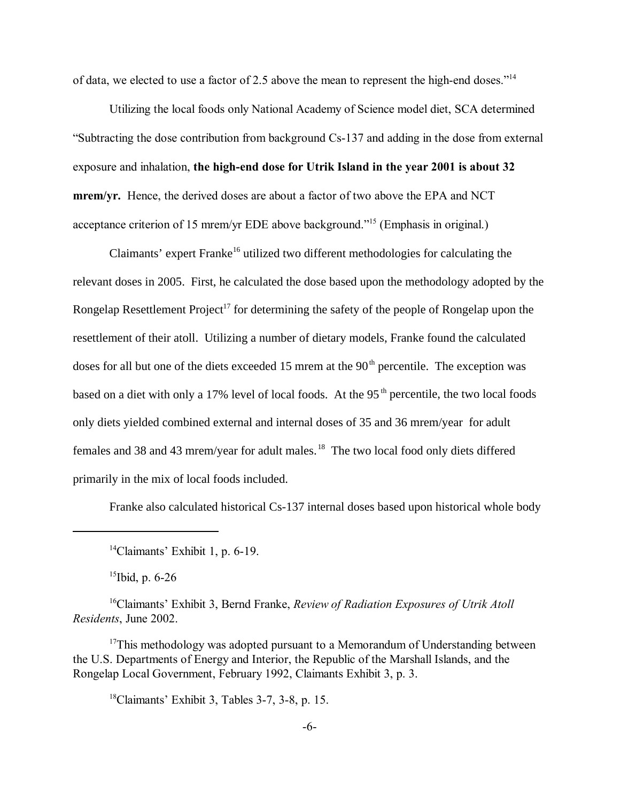of data, we elected to use a factor of 2.5 above the mean to represent the high-end doses.<sup> $14$ </sup>

Utilizing the local foods only National Academy of Science model diet, SCA determined ìSubtracting the dose contribution from background Cs-137 and adding in the dose from external exposure and inhalation, **the high-end dose for Utrik Island in the year 2001 is about 32 mrem/yr.** Hence, the derived doses are about a factor of two above the EPA and NCT acceptance criterion of 15 mrem/yr EDE above background.<sup> $15$ </sup> (Emphasis in original.)

Claimants' expert Franke<sup>16</sup> utilized two different methodologies for calculating the relevant doses in 2005. First, he calculated the dose based upon the methodology adopted by the Rongelap Resettlement Project<sup>17</sup> for determining the safety of the people of Rongelap upon the resettlement of their atoll. Utilizing a number of dietary models, Franke found the calculated doses for all but one of the diets exceeded 15 mrem at the  $90<sup>th</sup>$  percentile. The exception was based on a diet with only a 17% level of local foods. At the 95<sup>th</sup> percentile, the two local foods only diets yielded combined external and internal doses of 35 and 36 mrem/year for adult females and 38 and 43 mrem/year for adult males. 18 The two local food only diets differed primarily in the mix of local foods included.

Franke also calculated historical Cs-137 internal doses based upon historical whole body

15Ibid, p. 6-26

<sup>16</sup>Claimants<sup>'</sup> Exhibit 3, Bernd Franke, *Review of Radiation Exposures of Utrik Atoll Residents*, June 2002.

 $17$ This methodology was adopted pursuant to a Memorandum of Understanding between the U.S. Departments of Energy and Interior, the Republic of the Marshall Islands, and the Rongelap Local Government, February 1992, Claimants Exhibit 3, p. 3.

 $18$ Claimants' Exhibit 3, Tables 3-7, 3-8, p. 15.

 $14$ Claimants' Exhibit 1, p. 6-19.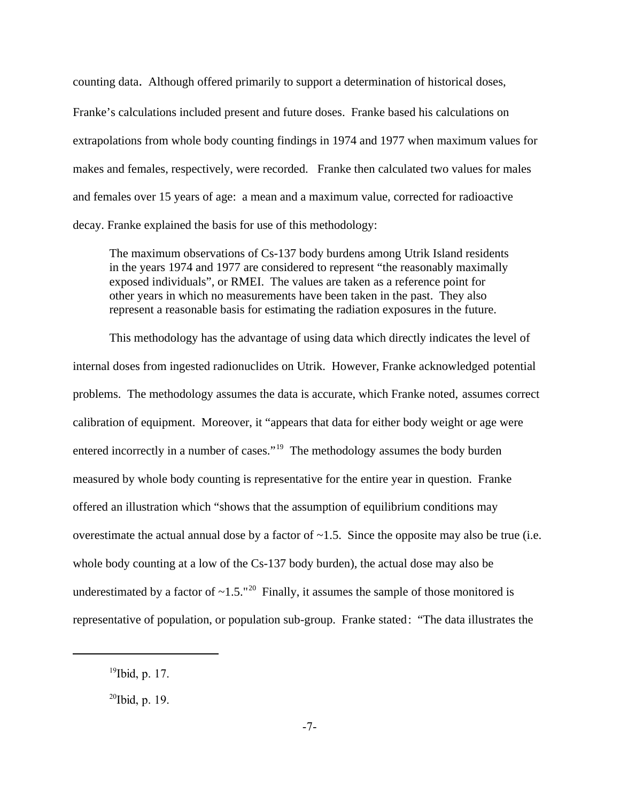counting data. Although offered primarily to support a determination of historical doses, Franke's calculations included present and future doses. Franke based his calculations on extrapolations from whole body counting findings in 1974 and 1977 when maximum values for makes and females, respectively, were recorded. Franke then calculated two values for males and females over 15 years of age: a mean and a maximum value, corrected for radioactive decay. Franke explained the basis for use of this methodology:

The maximum observations of Cs-137 body burdens among Utrik Island residents in the years 1974 and 1977 are considered to represent "the reasonably maximally exposed individuals", or RMEI. The values are taken as a reference point for other years in which no measurements have been taken in the past. They also represent a reasonable basis for estimating the radiation exposures in the future.

This methodology has the advantage of using data which directly indicates the level of internal doses from ingested radionuclides on Utrik. However, Franke acknowledged potential problems. The methodology assumes the data is accurate, which Franke noted, assumes correct calibration of equipment. Moreover, it "appears that data for either body weight or age were entered incorrectly in a number of cases."<sup>19</sup> The methodology assumes the body burden measured by whole body counting is representative for the entire year in question. Franke offered an illustration which "shows that the assumption of equilibrium conditions may overestimate the actual annual dose by a factor of  $\sim$ 1.5. Since the opposite may also be true (i.e. whole body counting at a low of the Cs-137 body burden), the actual dose may also be underestimated by a factor of  $\sim 1.5$ ."<sup>20</sup> Finally, it assumes the sample of those monitored is representative of population, or population sub-group. Franke stated: "The data illustrates the

 $19$ Ibid, p. 17.

 $^{20}$ Ibid, p. 19.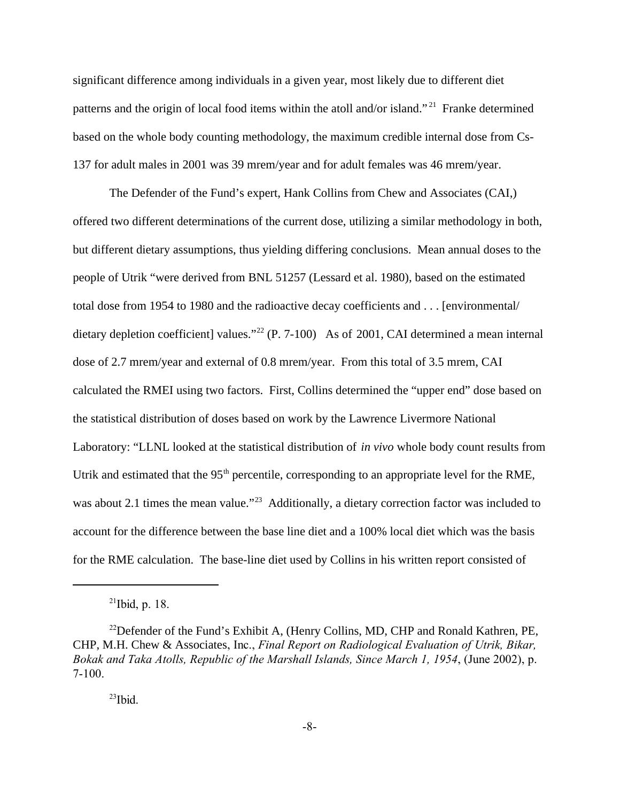significant difference among individuals in a given year, most likely due to different diet patterns and the origin of local food items within the atoll and/or island."<sup>21</sup> Franke determined based on the whole body counting methodology, the maximum credible internal dose from Cs-137 for adult males in 2001 was 39 mrem/year and for adult females was 46 mrem/year.

The Defender of the Fund's expert, Hank Collins from Chew and Associates (CAI,) offered two different determinations of the current dose, utilizing a similar methodology in both, but different dietary assumptions, thus yielding differing conclusions. Mean annual doses to the people of Utrik "were derived from BNL 51257 (Lessard et al. 1980), based on the estimated total dose from 1954 to 1980 and the radioactive decay coefficients and . . . [environmental/ dietary depletion coefficient] values."<sup>22</sup> (P. 7-100) As of 2001, CAI determined a mean internal dose of 2.7 mrem/year and external of 0.8 mrem/year. From this total of 3.5 mrem, CAI calculated the RMEI using two factors. First, Collins determined the "upper end" dose based on the statistical distribution of doses based on work by the Lawrence Livermore National Laboratory: "LLNL looked at the statistical distribution of *in vivo* whole body count results from Utrik and estimated that the  $95<sup>th</sup>$  percentile, corresponding to an appropriate level for the RME, was about 2.1 times the mean value."<sup>23</sup> Additionally, a dietary correction factor was included to account for the difference between the base line diet and a 100% local diet which was the basis for the RME calculation. The base-line diet used by Collins in his written report consisted of

 $^{21}$ Ibid, p. 18.

<sup>&</sup>lt;sup>22</sup>Defender of the Fund's Exhibit A, (Henry Collins, MD, CHP and Ronald Kathren, PE, CHP, M.H. Chew & Associates, Inc., *Final Report on Radiological Evaluation of Utrik, Bikar, Bokak and Taka Atolls, Republic of the Marshall Islands, Since March 1, 1954*, (June 2002), p. 7-100.

 $^{23}$ Ibid.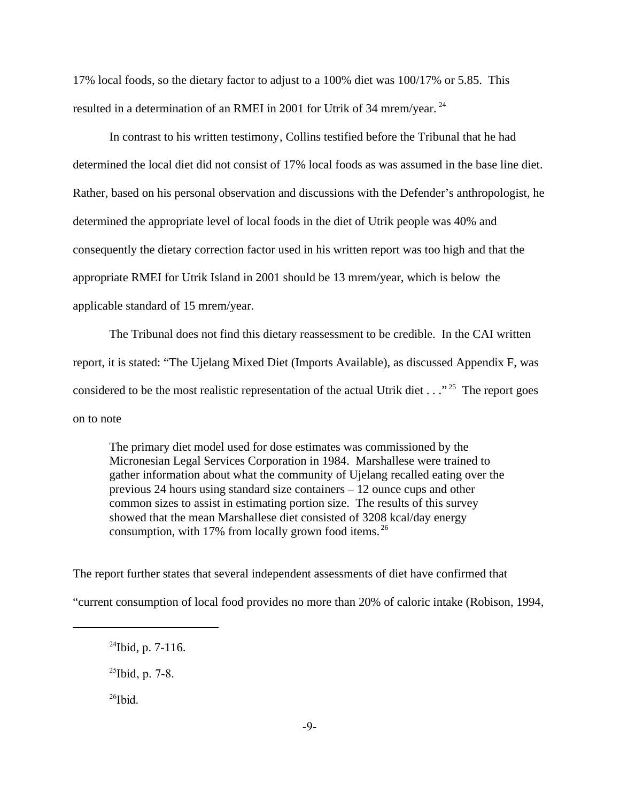17% local foods, so the dietary factor to adjust to a 100% diet was 100/17% or 5.85. This resulted in a determination of an RMEI in 2001 for Utrik of 34 mrem/year.<sup>24</sup>

In contrast to his written testimony, Collins testified before the Tribunal that he had determined the local diet did not consist of 17% local foods as was assumed in the base line diet. Rather, based on his personal observation and discussions with the Defender's anthropologist, he determined the appropriate level of local foods in the diet of Utrik people was 40% and consequently the dietary correction factor used in his written report was too high and that the appropriate RMEI for Utrik Island in 2001 should be 13 mrem/year, which is below the applicable standard of 15 mrem/year.

The Tribunal does not find this dietary reassessment to be credible. In the CAI written report, it is stated: "The Ujelang Mixed Diet (Imports Available), as discussed Appendix F, was considered to be the most realistic representation of the actual Utrik diet  $\ldots$ ."<sup>25</sup> The report goes on to note

The primary diet model used for dose estimates was commissioned by the Micronesian Legal Services Corporation in 1984. Marshallese were trained to gather information about what the community of Ujelang recalled eating over the previous 24 hours using standard size containers – 12 ounce cups and other common sizes to assist in estimating portion size. The results of this survey showed that the mean Marshallese diet consisted of 3208 kcal/day energy consumption, with 17% from locally grown food items.  $^{26}$ 

The report further states that several independent assessments of diet have confirmed that "current consumption of local food provides no more than 20% of caloric intake (Robison, 1994,

 $^{26}$ Ibid.

 $^{24}$ Ibid, p. 7-116.

 $^{25}$ Ibid, p. 7-8.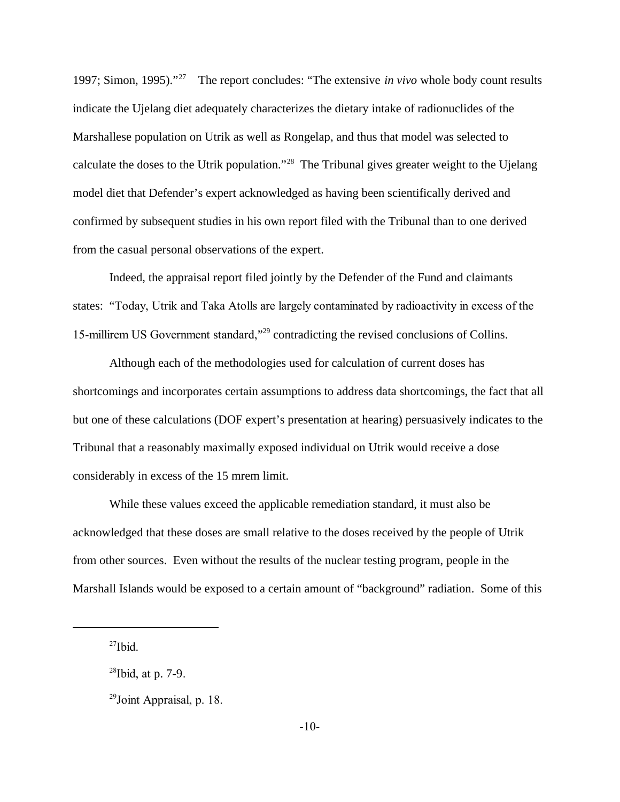1997; Simon, 1995)."27 The report concludes: "The extensive *in vivo* whole body count results indicate the Ujelang diet adequately characterizes the dietary intake of radionuclides of the Marshallese population on Utrik as well as Rongelap, and thus that model was selected to calculate the doses to the Utrik population."28 The Tribunal gives greater weight to the Ujelang model diet that Defender's expert acknowledged as having been scientifically derived and confirmed by subsequent studies in his own report filed with the Tribunal than to one derived from the casual personal observations of the expert.

Indeed, the appraisal report filed jointly by the Defender of the Fund and claimants states: "Today, Utrik and Taka Atolls are largely contaminated by radioactivity in excess of the 15-millirem US Government standard,"29 contradicting the revised conclusions of Collins.

Although each of the methodologies used for calculation of current doses has shortcomings and incorporates certain assumptions to address data shortcomings, the fact that all but one of these calculations (DOF expert's presentation at hearing) persuasively indicates to the Tribunal that a reasonably maximally exposed individual on Utrik would receive a dose considerably in excess of the 15 mrem limit.

 While these values exceed the applicable remediation standard, it must also be acknowledged that these doses are small relative to the doses received by the people of Utrik from other sources. Even without the results of the nuclear testing program, people in the Marshall Islands would be exposed to a certain amount of "background" radiation. Some of this

 $^{27}$ Ibid.

 $28$ Ibid, at p. 7-9.

 $29$ Joint Appraisal, p. 18.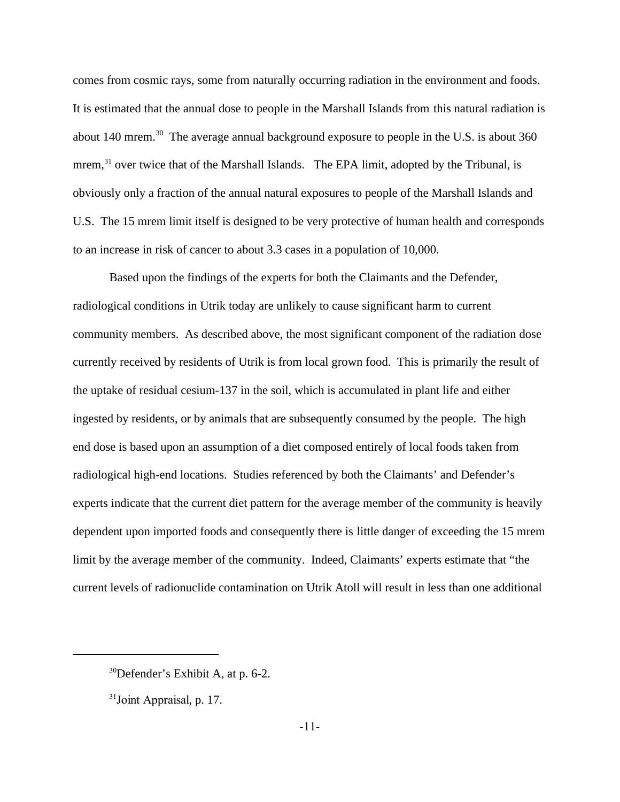comes from cosmic rays, some from naturally occurring radiation in the environment and foods. It is estimated that the annual dose to people in the Marshall Islands from this natural radiation is about 140 mrem.<sup>30</sup> The average annual background exposure to people in the U.S. is about 360 mrem,<sup>31</sup> over twice that of the Marshall Islands. The EPA limit, adopted by the Tribunal, is obviously only a fraction of the annual natural exposures to people of the Marshall Islands and U.S. The 15 mrem limit itself is designed to be very protective of human health and corresponds to an increase in risk of cancer to about 3.3 cases in a population of 10,000.

Based upon the findings of the experts for both the Claimants and the Defender, radiological conditions in Utrik today are unlikely to cause significant harm to current community members. As described above, the most significant component of the radiation dose currently received by residents of Utrik is from local grown food. This is primarily the result of the uptake of residual cesium-137 in the soil, which is accumulated in plant life and either ingested by residents, or by animals that are subsequently consumed by the people. The high end dose is based upon an assumption of a diet composed entirely of local foods taken from radiological high-end locations. Studies referenced by both the Claimants' and Defender's experts indicate that the current diet pattern for the average member of the community is heavily dependent upon imported foods and consequently there is little danger of exceeding the 15 mrem limit by the average member of the community. Indeed, Claimants' experts estimate that "the current levels of radionuclide contamination on Utrik Atoll will result in less than one additional

 $30$ Defender's Exhibit A, at p. 6-2.

 $31$ Joint Appraisal, p. 17.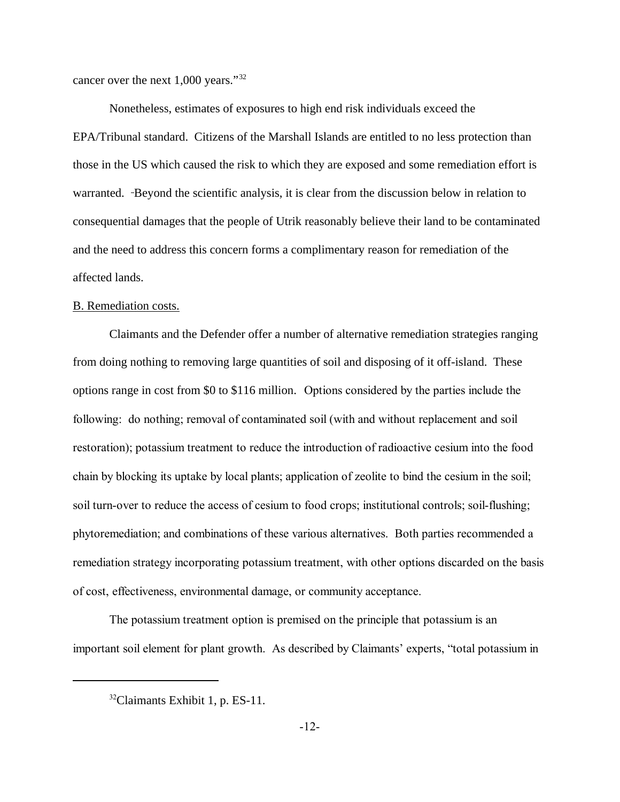cancer over the next 1,000 years."<sup>32</sup>

Nonetheless, estimates of exposures to high end risk individuals exceed the EPA/Tribunal standard. Citizens of the Marshall Islands are entitled to no less protection than those in the US which caused the risk to which they are exposed and some remediation effort is warranted. Beyond the scientific analysis, it is clear from the discussion below in relation to consequential damages that the people of Utrik reasonably believe their land to be contaminated and the need to address this concern forms a complimentary reason for remediation of the affected lands.

## B. Remediation costs.

Claimants and the Defender offer a number of alternative remediation strategies ranging from doing nothing to removing large quantities of soil and disposing of it off-island. These options range in cost from \$0 to \$116 million. Options considered by the parties include the following: do nothing; removal of contaminated soil (with and without replacement and soil restoration); potassium treatment to reduce the introduction of radioactive cesium into the food chain by blocking its uptake by local plants; application of zeolite to bind the cesium in the soil; soil turn-over to reduce the access of cesium to food crops; institutional controls; soil-flushing; phytoremediation; and combinations of these various alternatives. Both parties recommended a remediation strategy incorporating potassium treatment, with other options discarded on the basis of cost, effectiveness, environmental damage, or community acceptance.

The potassium treatment option is premised on the principle that potassium is an important soil element for plant growth. As described by Claimants' experts, "total potassium in

 $32$ Claimants Exhibit 1, p. ES-11.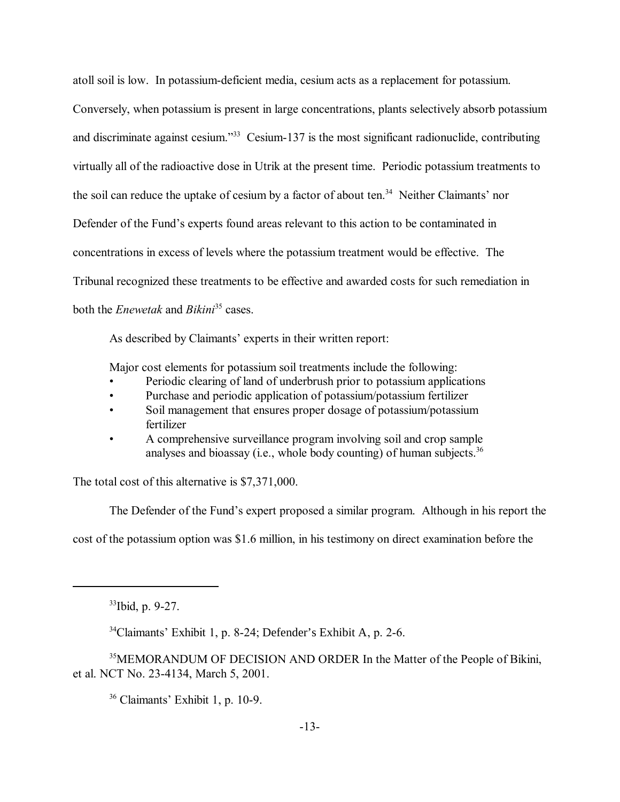atoll soil is low. In potassium-deficient media, cesium acts as a replacement for potassium. Conversely, when potassium is present in large concentrations, plants selectively absorb potassium and discriminate against cesium.<sup>33</sup> Cesium-137 is the most significant radionuclide, contributing virtually all of the radioactive dose in Utrik at the present time. Periodic potassium treatments to the soil can reduce the uptake of cesium by a factor of about ten.<sup>34</sup> Neither Claimants' nor Defender of the Fund's experts found areas relevant to this action to be contaminated in concentrations in excess of levels where the potassium treatment would be effective. The Tribunal recognized these treatments to be effective and awarded costs for such remediation in both the *Enewetak* and *Bikini*35 cases.

As described by Claimants' experts in their written report:

Major cost elements for potassium soil treatments include the following:

- Periodic clearing of land of underbrush prior to potassium applications
- Purchase and periodic application of potassium/potassium fertilizer
- Soil management that ensures proper dosage of potassium/potassium fertilizer
- A comprehensive surveillance program involving soil and crop sample analyses and bioassay (i.e., whole body counting) of human subjects.<sup>36</sup>

The total cost of this alternative is \$7,371,000.

The Defender of the Fund's expert proposed a similar program. Although in his report the

cost of the potassium option was \$1.6 million, in his testimony on direct examination before the

 $36$  Claimants' Exhibit 1, p. 10-9.

<sup>33</sup>Ibid, p. 9-27.

 $34$ Claimants' Exhibit 1, p. 8-24; Defender's Exhibit A, p. 2-6.

<sup>&</sup>lt;sup>35</sup>MEMORANDUM OF DECISION AND ORDER In the Matter of the People of Bikini, et al. NCT No. 23-4134, March 5, 2001.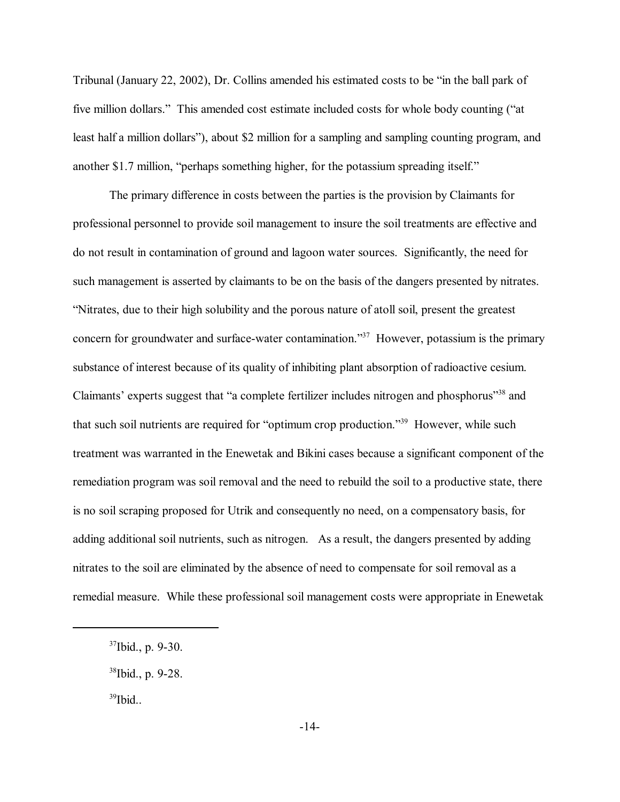Tribunal (January 22, 2002), Dr. Collins amended his estimated costs to be "in the ball park of five million dollars." This amended cost estimate included costs for whole body counting ("at least half a million dollars"), about \$2 million for a sampling and sampling counting program, and another \$1.7 million, "perhaps something higher, for the potassium spreading itself."

The primary difference in costs between the parties is the provision by Claimants for professional personnel to provide soil management to insure the soil treatments are effective and do not result in contamination of ground and lagoon water sources. Significantly, the need for such management is asserted by claimants to be on the basis of the dangers presented by nitrates. ìNitrates, due to their high solubility and the porous nature of atoll soil, present the greatest concern for groundwater and surface-water contamination.<sup>337</sup> However, potassium is the primary substance of interest because of its quality of inhibiting plant absorption of radioactive cesium. Claimants' experts suggest that "a complete fertilizer includes nitrogen and phosphorus"<sup>38</sup> and that such soil nutrients are required for "optimum crop production.<sup>339</sup> However, while such treatment was warranted in the Enewetak and Bikini cases because a significant component of the remediation program was soil removal and the need to rebuild the soil to a productive state, there is no soil scraping proposed for Utrik and consequently no need, on a compensatory basis, for adding additional soil nutrients, such as nitrogen. As a result, the dangers presented by adding nitrates to the soil are eliminated by the absence of need to compensate for soil removal as a remedial measure. While these professional soil management costs were appropriate in Enewetak

 $37$ Ibid., p. 9-30.

<sup>38</sup>Ibid., p. 9-28.

<sup>&</sup>lt;sup>39</sup>Ibid...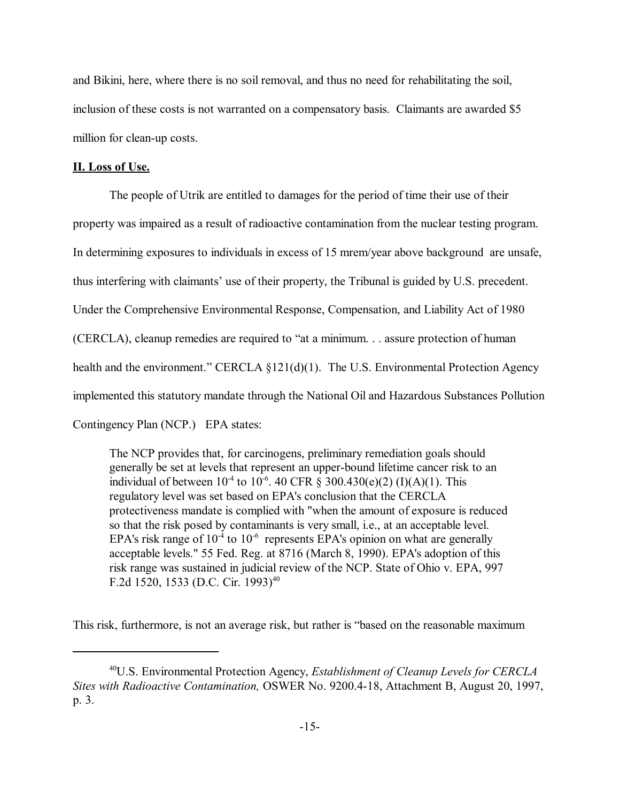and Bikini, here, where there is no soil removal, and thus no need for rehabilitating the soil, inclusion of these costs is not warranted on a compensatory basis. Claimants are awarded \$5 million for clean-up costs.

## **II. Loss of Use.**

The people of Utrik are entitled to damages for the period of time their use of their property was impaired as a result of radioactive contamination from the nuclear testing program. In determining exposures to individuals in excess of 15 mrem/year above background are unsafe, thus interfering with claimants' use of their property, the Tribunal is guided by U.S. precedent. Under the Comprehensive Environmental Response, Compensation, and Liability Act of 1980 (CERCLA), cleanup remedies are required to "at a minimum. . . assure protection of human health and the environment." CERCLA  $$121(d)(1)$ . The U.S. Environmental Protection Agency implemented this statutory mandate through the National Oil and Hazardous Substances Pollution Contingency Plan (NCP.) EPA states:

The NCP provides that, for carcinogens, preliminary remediation goals should generally be set at levels that represent an upper-bound lifetime cancer risk to an individual of between  $10^{-4}$  to  $10^{-6}$ . 40 CFR  $\frac{2}{5}$  300.430(e)(2) (I)(A)(1). This regulatory level was set based on EPA's conclusion that the CERCLA protectiveness mandate is complied with "when the amount of exposure is reduced so that the risk posed by contaminants is very small, i.e., at an acceptable level. EPA's risk range of  $10^{-4}$  to  $10^{-6}$  represents EPA's opinion on what are generally acceptable levels." 55 Fed. Reg. at 8716 (March 8, 1990). EPA's adoption of this risk range was sustained in judicial review of the NCP. State of Ohio v. EPA, 997 F.2d 1520, 1533 (D.C. Cir. 1993)<sup>40</sup>

This risk, furthermore, is not an average risk, but rather is "based on the reasonable maximum

<sup>40</sup>U.S. Environmental Protection Agency, *Establishment of Cleanup Levels for CERCLA Sites with Radioactive Contamination,* OSWER No. 9200.4-18, Attachment B, August 20, 1997, p. 3.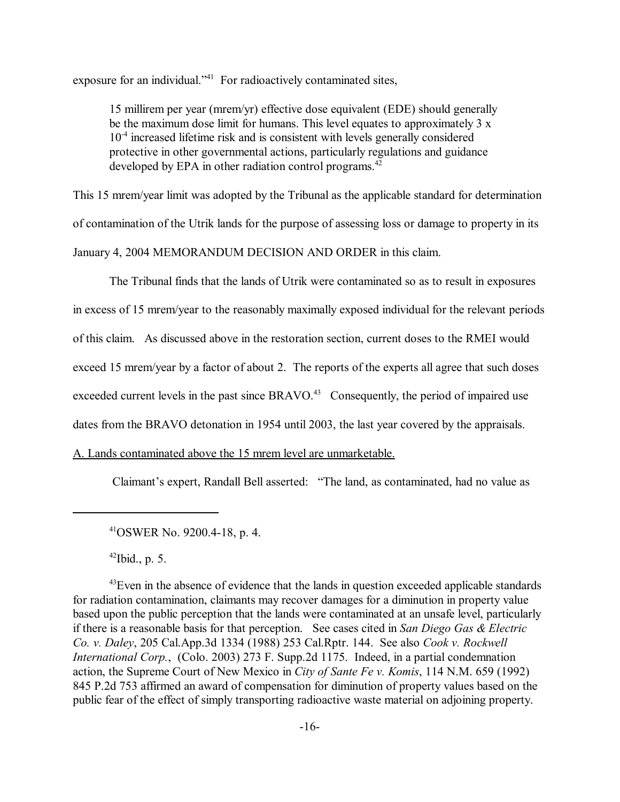exposure for an individual.<sup> $241$ </sup> For radioactively contaminated sites,

15 millirem per year (mrem/yr) effective dose equivalent (EDE) should generally be the maximum dose limit for humans. This level equates to approximately 3 x 10-4 increased lifetime risk and is consistent with levels generally considered protective in other governmental actions, particularly regulations and guidance developed by EPA in other radiation control programs.<sup>42</sup>

This 15 mrem/year limit was adopted by the Tribunal as the applicable standard for determination of contamination of the Utrik lands for the purpose of assessing loss or damage to property in its January 4, 2004 MEMORANDUM DECISION AND ORDER in this claim.

The Tribunal finds that the lands of Utrik were contaminated so as to result in exposures

in excess of 15 mrem/year to the reasonably maximally exposed individual for the relevant periods

of this claim. As discussed above in the restoration section, current doses to the RMEI would

exceed 15 mrem/year by a factor of about 2. The reports of the experts all agree that such doses

exceeded current levels in the past since  $BRAVO<sup>43</sup>$  Consequently, the period of impaired use

dates from the BRAVO detonation in 1954 until 2003, the last year covered by the appraisals.

# A. Lands contaminated above the 15 mrem level are unmarketable.

Claimant's expert, Randall Bell asserted: "The land, as contaminated, had no value as

 $^{42}$ Ibid., p. 5.

 $^{43}$ Even in the absence of evidence that the lands in question exceeded applicable standards for radiation contamination, claimants may recover damages for a diminution in property value based upon the public perception that the lands were contaminated at an unsafe level, particularly if there is a reasonable basis for that perception. See cases cited in *San Diego Gas & Electric Co. v. Daley*, 205 Cal.App.3d 1334 (1988) 253 Cal.Rptr. 144. See also *Cook v. Rockwell International Corp.*, (Colo. 2003) 273 F. Supp.2d 1175. Indeed, in a partial condemnation action, the Supreme Court of New Mexico in *City of Sante Fe v. Komis*, 114 N.M. 659 (1992) 845 P.2d 753 affirmed an award of compensation for diminution of property values based on the public fear of the effect of simply transporting radioactive waste material on adjoining property.

<sup>41</sup>OSWER No. 9200.4-18, p. 4.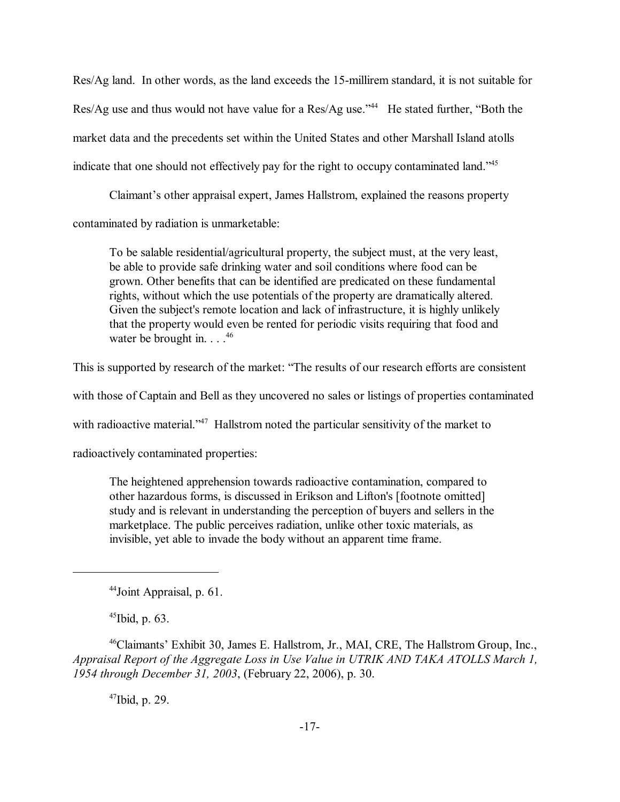Res/Ag land. In other words, as the land exceeds the 15-millirem standard, it is not suitable for Res/Ag use and thus would not have value for a Res/Ag use.<sup> $344$ </sup> He stated further, "Both the market data and the precedents set within the United States and other Marshall Island atolls indicate that one should not effectively pay for the right to occupy contaminated land.<sup>745</sup>

Claimant's other appraisal expert, James Hallstrom, explained the reasons property contaminated by radiation is unmarketable:

To be salable residential/agricultural property, the subject must, at the very least, be able to provide safe drinking water and soil conditions where food can be grown. Other benefits that can be identified are predicated on these fundamental rights, without which the use potentials of the property are dramatically altered. Given the subject's remote location and lack of infrastructure, it is highly unlikely that the property would even be rented for periodic visits requiring that food and water be brought in.  $\ldots$ .<sup>46</sup>

This is supported by research of the market: "The results of our research efforts are consistent

with those of Captain and Bell as they uncovered no sales or listings of properties contaminated

with radioactive material.<sup> $347$ </sup> Hallstrom noted the particular sensitivity of the market to

radioactively contaminated properties:

The heightened apprehension towards radioactive contamination, compared to other hazardous forms, is discussed in Erikson and Lifton's [footnote omitted] study and is relevant in understanding the perception of buyers and sellers in the marketplace. The public perceives radiation, unlike other toxic materials, as invisible, yet able to invade the body without an apparent time frame.

 $45$ Ibid, p. 63.

<sup>46</sup>Claimants<sup>7</sup> Exhibit 30, James E. Hallstrom, Jr., MAI, CRE, The Hallstrom Group, Inc., *Appraisal Report of the Aggregate Loss in Use Value in UTRIK AND TAKA ATOLLS March 1, 1954 through December 31, 2003*, (February 22, 2006), p. 30.

 $47$ Ibid, p. 29.

<sup>44</sup>Joint Appraisal, p. 61.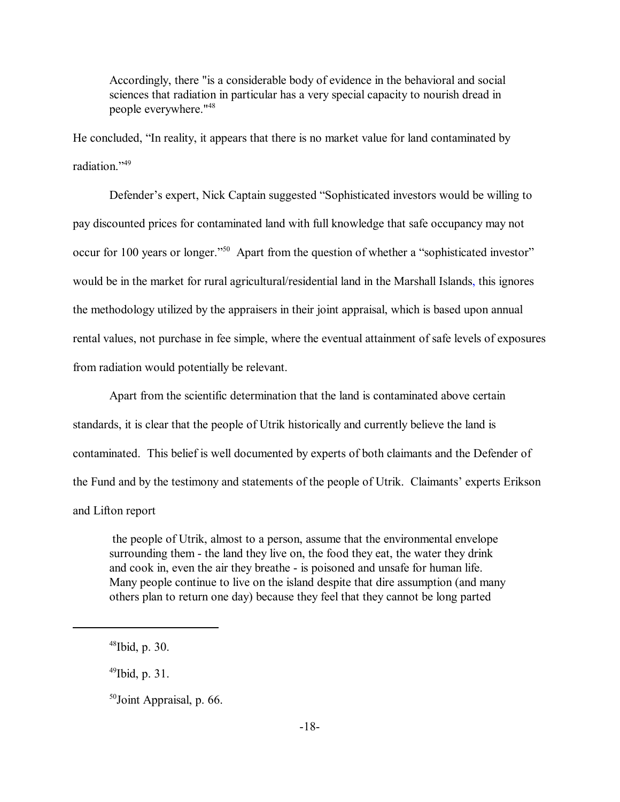Accordingly, there "is a considerable body of evidence in the behavioral and social sciences that radiation in particular has a very special capacity to nourish dread in people everywhere."48

He concluded, "In reality, it appears that there is no market value for land contaminated by radiation<sup>"49</sup>

Defender's expert, Nick Captain suggested "Sophisticated investors would be willing to pay discounted prices for contaminated land with full knowledge that safe occupancy may not occur for 100 years or longer.<sup>350</sup> Apart from the question of whether a "sophisticated investor" would be in the market for rural agricultural/residential land in the Marshall Islands, this ignores the methodology utilized by the appraisers in their joint appraisal, which is based upon annual rental values, not purchase in fee simple, where the eventual attainment of safe levels of exposures from radiation would potentially be relevant.

Apart from the scientific determination that the land is contaminated above certain standards, it is clear that the people of Utrik historically and currently believe the land is contaminated. This belief is well documented by experts of both claimants and the Defender of the Fund and by the testimony and statements of the people of Utrik. Claimants' experts Erikson and Lifton report

 the people of Utrik, almost to a person, assume that the environmental envelope surrounding them - the land they live on, the food they eat, the water they drink and cook in, even the air they breathe - is poisoned and unsafe for human life. Many people continue to live on the island despite that dire assumption (and many others plan to return one day) because they feel that they cannot be long parted

 $^{49}$ Ibid, p. 31.

 $48$ Ibid, p. 30.

<sup>50</sup>Joint Appraisal, p. 66.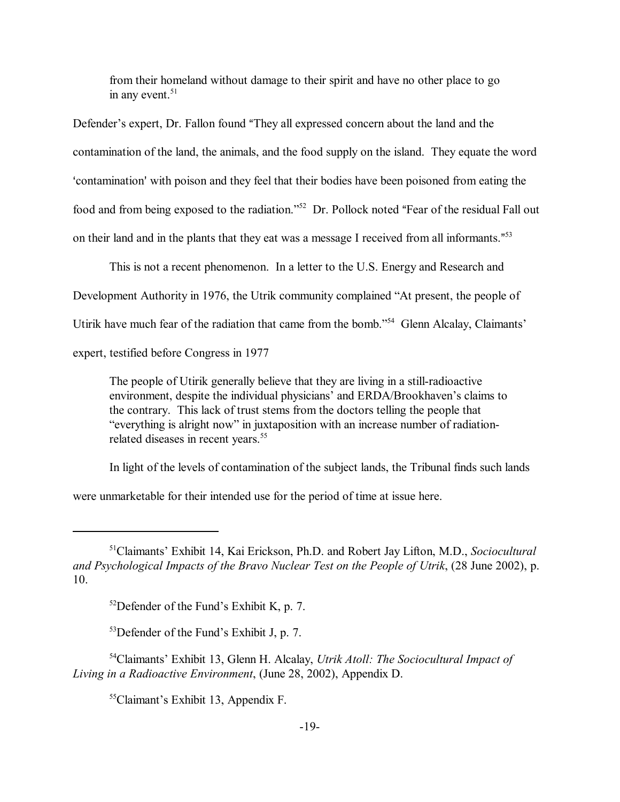from their homeland without damage to their spirit and have no other place to go in any event. $51$ 

Defender's expert, Dr. Fallon found "They all expressed concern about the land and the contamination of the land, the animals, and the food supply on the island. They equate the word >contamination= with poison and they feel that their bodies have been poisoned from eating the food and from being exposed to the radiation.<sup>752</sup> Dr. Pollock noted "Fear of the residual Fall out on their land and in the plants that they eat was a message I received from all informants."<sup>53</sup>

This is not a recent phenomenon. In a letter to the U.S. Energy and Research and

Development Authority in 1976, the Utrik community complained "At present, the people of

Utirik have much fear of the radiation that came from the bomb.<sup>354</sup> Glenn Alcalay, Claimants<sup>7</sup>

expert, testified before Congress in 1977

The people of Utirik generally believe that they are living in a still-radioactive environment, despite the individual physicians' and ERDA/Brookhaven's claims to the contrary. This lack of trust stems from the doctors telling the people that "everything is alright now" in juxtaposition with an increase number of radiationrelated diseases in recent years.<sup>55</sup>

In light of the levels of contamination of the subject lands, the Tribunal finds such lands

were unmarketable for their intended use for the period of time at issue here.

 $55$ Claimant's Exhibit 13, Appendix F.

<sup>51</sup>Claimantsí Exhibit 14, Kai Erickson, Ph.D. and Robert Jay Lifton, M.D., *Sociocultural and Psychological Impacts of the Bravo Nuclear Test on the People of Utrik*, (28 June 2002), p. 10.

 $52$ Defender of the Fund's Exhibit K, p. 7.

 $53$ Defender of the Fund's Exhibit J, p. 7.

<sup>54</sup>Claimantsí Exhibit 13, Glenn H. Alcalay, *Utrik Atoll: The Sociocultural Impact of Living in a Radioactive Environment*, (June 28, 2002), Appendix D.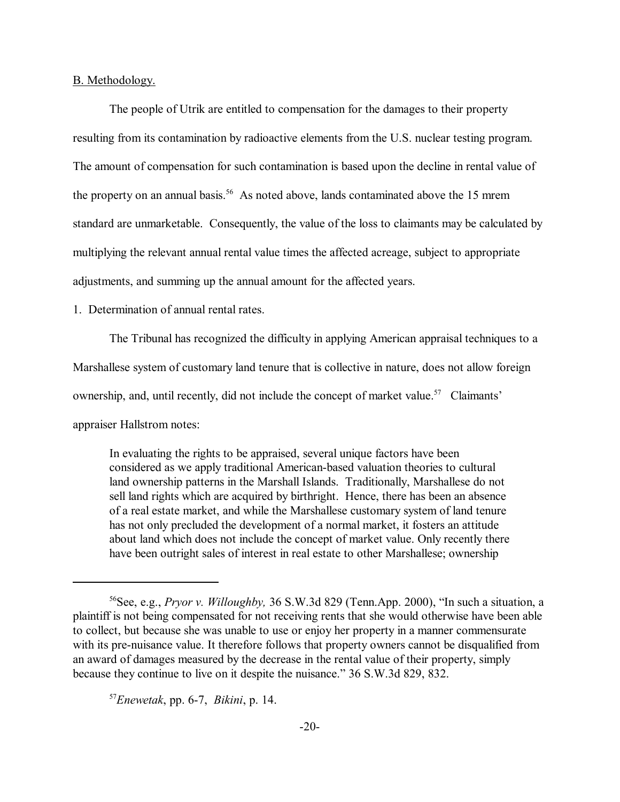## B. Methodology.

The people of Utrik are entitled to compensation for the damages to their property resulting from its contamination by radioactive elements from the U.S. nuclear testing program. The amount of compensation for such contamination is based upon the decline in rental value of the property on an annual basis.<sup>56</sup> As noted above, lands contaminated above the 15 mrem standard are unmarketable. Consequently, the value of the loss to claimants may be calculated by multiplying the relevant annual rental value times the affected acreage, subject to appropriate adjustments, and summing up the annual amount for the affected years.

# 1. Determination of annual rental rates.

The Tribunal has recognized the difficulty in applying American appraisal techniques to a

Marshallese system of customary land tenure that is collective in nature, does not allow foreign

ownership, and, until recently, did not include the concept of market value.<sup>57</sup> Claimants<sup>7</sup>

appraiser Hallstrom notes:

In evaluating the rights to be appraised, several unique factors have been considered as we apply traditional American-based valuation theories to cultural land ownership patterns in the Marshall Islands. Traditionally, Marshallese do not sell land rights which are acquired by birthright. Hence, there has been an absence of a real estate market, and while the Marshallese customary system of land tenure has not only precluded the development of a normal market, it fosters an attitude about land which does not include the concept of market value. Only recently there have been outright sales of interest in real estate to other Marshallese; ownership

<sup>57</sup>*Enewetak*, pp. 6-7, *Bikini*, p. 14.

<sup>&</sup>lt;sup>56</sup>See, e.g., *Pryor v. Willoughby*, 36 S.W.3d 829 (Tenn.App. 2000), "In such a situation, a plaintiff is not being compensated for not receiving rents that she would otherwise have been able to collect, but because she was unable to use or enjoy her property in a manner commensurate with its pre-nuisance value. It therefore follows that property owners cannot be disqualified from an award of damages measured by the decrease in the rental value of their property, simply because they continue to live on it despite the nuisance." 36 S.W.3d 829, 832.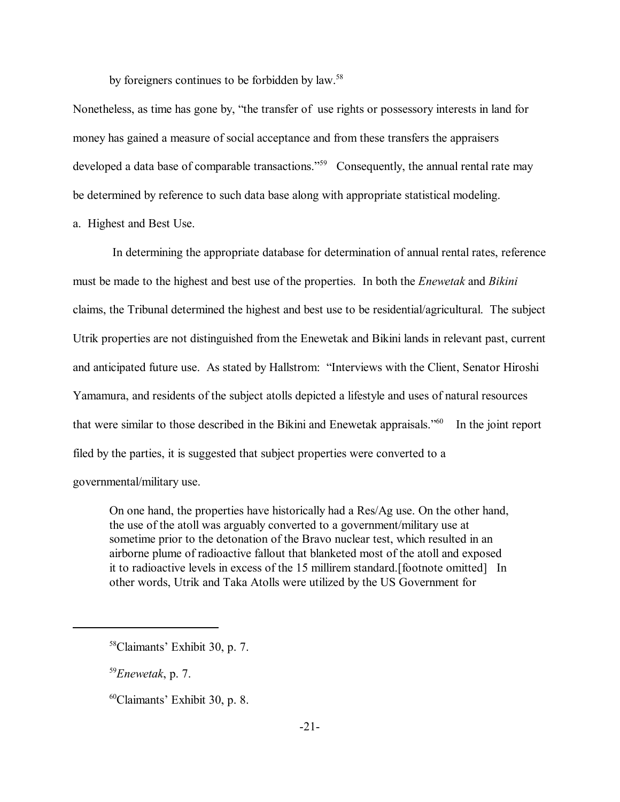by foreigners continues to be forbidden by law.<sup>58</sup>

Nonetheless, as time has gone by, "the transfer of use rights or possessory interests in land for money has gained a measure of social acceptance and from these transfers the appraisers developed a data base of comparable transactions.<sup> $559$ </sup> Consequently, the annual rental rate may be determined by reference to such data base along with appropriate statistical modeling.

a. Highest and Best Use.

 In determining the appropriate database for determination of annual rental rates, reference must be made to the highest and best use of the properties. In both the *Enewetak* and *Bikini* claims, the Tribunal determined the highest and best use to be residential/agricultural. The subject Utrik properties are not distinguished from the Enewetak and Bikini lands in relevant past, current and anticipated future use. As stated by Hallstrom: "Interviews with the Client, Senator Hiroshi Yamamura, and residents of the subject atolls depicted a lifestyle and uses of natural resources that were similar to those described in the Bikini and Enewetak appraisals.<sup> $560$ </sup> In the joint report filed by the parties, it is suggested that subject properties were converted to a governmental/military use.

On one hand, the properties have historically had a Res/Ag use. On the other hand, the use of the atoll was arguably converted to a government/military use at sometime prior to the detonation of the Bravo nuclear test, which resulted in an airborne plume of radioactive fallout that blanketed most of the atoll and exposed it to radioactive levels in excess of the 15 millirem standard.[footnote omitted] In other words, Utrik and Taka Atolls were utilized by the US Government for

<sup>59</sup>*Enewetak*, p. 7.

 $60$ Claimants' Exhibit 30, p. 8.

<sup>&</sup>lt;sup>58</sup>Claimants' Exhibit 30, p. 7.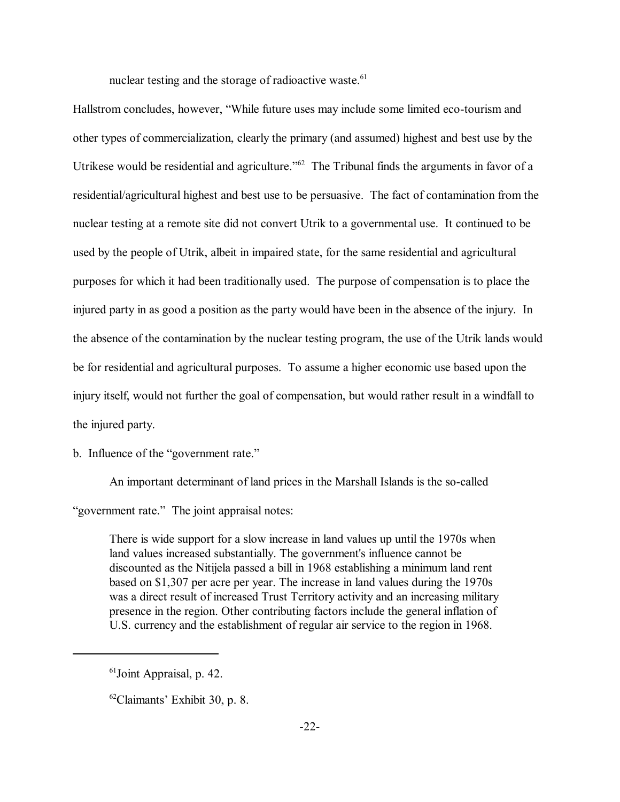nuclear testing and the storage of radioactive waste.<sup>61</sup>

Hallstrom concludes, however, "While future uses may include some limited eco-tourism and other types of commercialization, clearly the primary (and assumed) highest and best use by the Utrikese would be residential and agriculture.<sup> $162$ </sup> The Tribunal finds the arguments in favor of a residential/agricultural highest and best use to be persuasive. The fact of contamination from the nuclear testing at a remote site did not convert Utrik to a governmental use. It continued to be used by the people of Utrik, albeit in impaired state, for the same residential and agricultural purposes for which it had been traditionally used. The purpose of compensation is to place the injured party in as good a position as the party would have been in the absence of the injury. In the absence of the contamination by the nuclear testing program, the use of the Utrik lands would be for residential and agricultural purposes. To assume a higher economic use based upon the injury itself, would not further the goal of compensation, but would rather result in a windfall to the injured party.

b. Influence of the "government rate."

An important determinant of land prices in the Marshall Islands is the so-called "government rate." The joint appraisal notes:

There is wide support for a slow increase in land values up until the 1970s when land values increased substantially. The government's influence cannot be discounted as the Nitijela passed a bill in 1968 establishing a minimum land rent based on \$1,307 per acre per year. The increase in land values during the 1970s was a direct result of increased Trust Territory activity and an increasing military presence in the region. Other contributing factors include the general inflation of U.S. currency and the establishment of regular air service to the region in 1968.

<sup>61</sup>Joint Appraisal, p. 42.

 $62$ Claimants' Exhibit 30, p. 8.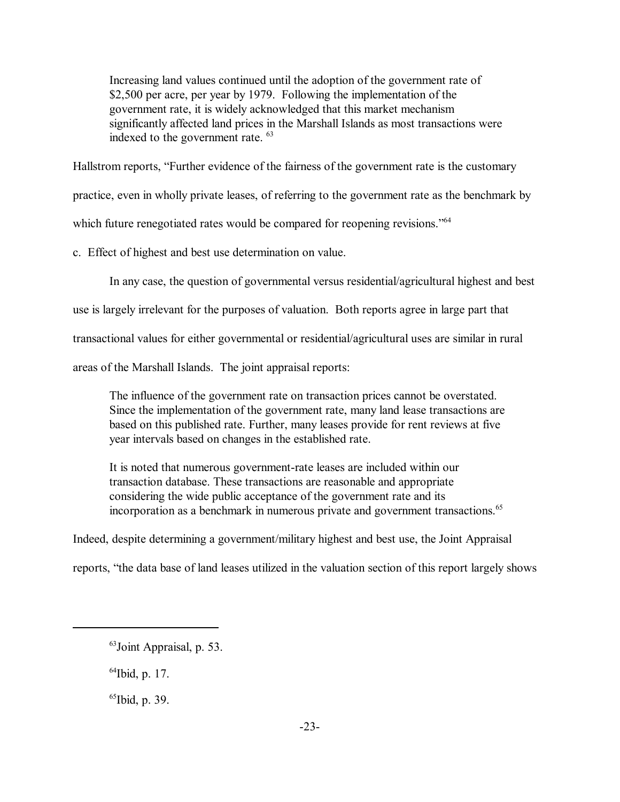Increasing land values continued until the adoption of the government rate of \$2,500 per acre, per year by 1979. Following the implementation of the government rate, it is widely acknowledged that this market mechanism significantly affected land prices in the Marshall Islands as most transactions were indexed to the government rate. 63

Hallstrom reports, "Further evidence of the fairness of the government rate is the customary

practice, even in wholly private leases, of referring to the government rate as the benchmark by

which future renegotiated rates would be compared for reopening revisions.<sup> $564$ </sup>

c. Effect of highest and best use determination on value.

In any case, the question of governmental versus residential/agricultural highest and best

use is largely irrelevant for the purposes of valuation. Both reports agree in large part that

transactional values for either governmental or residential/agricultural uses are similar in rural

areas of the Marshall Islands. The joint appraisal reports:

The influence of the government rate on transaction prices cannot be overstated. Since the implementation of the government rate, many land lease transactions are based on this published rate. Further, many leases provide for rent reviews at five year intervals based on changes in the established rate.

It is noted that numerous government-rate leases are included within our transaction database. These transactions are reasonable and appropriate considering the wide public acceptance of the government rate and its incorporation as a benchmark in numerous private and government transactions.<sup>65</sup>

Indeed, despite determining a government/military highest and best use, the Joint Appraisal

reports, "the data base of land leases utilized in the valuation section of this report largely shows

64Ibid, p. 17.

 $^{65}$ Ibid, p. 39.

<sup>63</sup>Joint Appraisal, p. 53.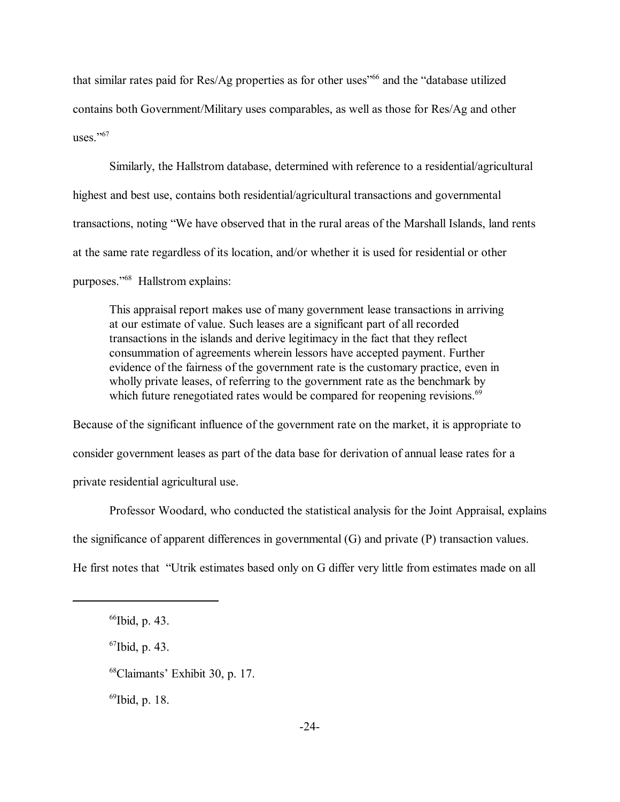that similar rates paid for  $\text{Res}/\text{Ag}$  properties as for other uses<sup> $166$ </sup> and the "database utilized contains both Government/Military uses comparables, as well as those for Res/Ag and other uses. $10^{567}$ 

Similarly, the Hallstrom database, determined with reference to a residential/agricultural highest and best use, contains both residential/agricultural transactions and governmental transactions, noting "We have observed that in the rural areas of the Marshall Islands, land rents at the same rate regardless of its location, and/or whether it is used for residential or other purposes."<sup>68</sup> Hallstrom explains:

This appraisal report makes use of many government lease transactions in arriving at our estimate of value. Such leases are a significant part of all recorded transactions in the islands and derive legitimacy in the fact that they reflect consummation of agreements wherein lessors have accepted payment. Further evidence of the fairness of the government rate is the customary practice, even in wholly private leases, of referring to the government rate as the benchmark by which future renegotiated rates would be compared for reopening revisions.<sup>69</sup>

Because of the significant influence of the government rate on the market, it is appropriate to consider government leases as part of the data base for derivation of annual lease rates for a private residential agricultural use.

Professor Woodard, who conducted the statistical analysis for the Joint Appraisal, explains the significance of apparent differences in governmental (G) and private (P) transaction values. He first notes that "Utrik estimates based only on G differ very little from estimates made on all

- 67Ibid, p. 43.
- <sup>68</sup>Claimants' Exhibit 30, p. 17.

 $^{69}$ Ibid, p. 18.

<sup>&</sup>lt;sup>66</sup>Ibid, p. 43.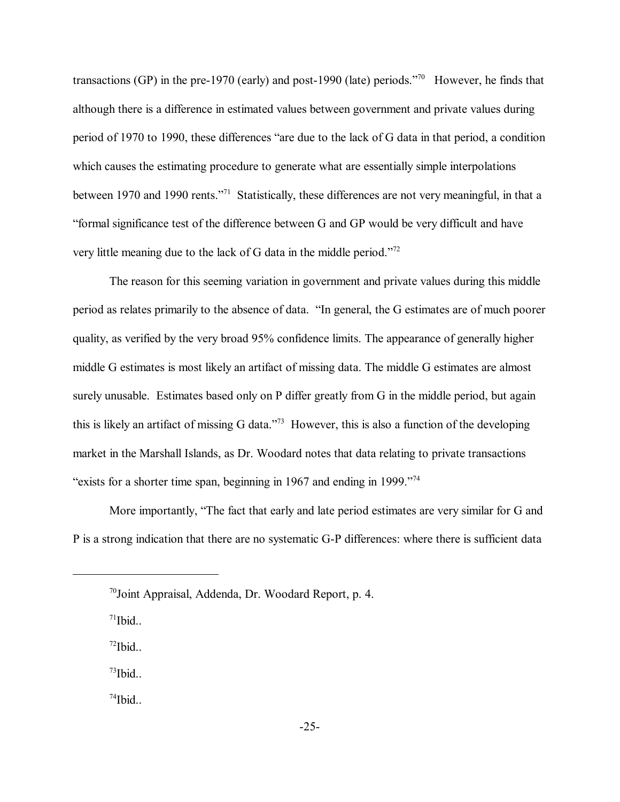transactions (GP) in the pre-1970 (early) and post-1990 (late) periods.<sup>770</sup> However, he finds that although there is a difference in estimated values between government and private values during period of 1970 to 1990, these differences "are due to the lack of G data in that period, a condition which causes the estimating procedure to generate what are essentially simple interpolations between 1970 and 1990 rents.<sup>771</sup> Statistically, these differences are not very meaningful, in that a ìformal significance test of the difference between G and GP would be very difficult and have very little meaning due to the lack of G data in the middle period.<sup> $72$ </sup>

The reason for this seeming variation in government and private values during this middle period as relates primarily to the absence of data. "In general, the G estimates are of much poorer quality, as verified by the very broad 95% confidence limits. The appearance of generally higher middle G estimates is most likely an artifact of missing data. The middle G estimates are almost surely unusable. Estimates based only on P differ greatly from G in the middle period, but again this is likely an artifact of missing G data.<sup>773</sup> However, this is also a function of the developing market in the Marshall Islands, as Dr. Woodard notes that data relating to private transactions "exists for a shorter time span, beginning in 1967 and ending in 1999."<sup>74</sup>

More importantly, "The fact that early and late period estimates are very similar for G and P is a strong indication that there are no systematic G-P differences: where there is sufficient data

 $71$ Ibid

 $^{72}$ Ibid..

 $^{73}$ Ibid..

 $^{74}$ Ibid..

<sup>70</sup>Joint Appraisal, Addenda, Dr. Woodard Report, p. 4.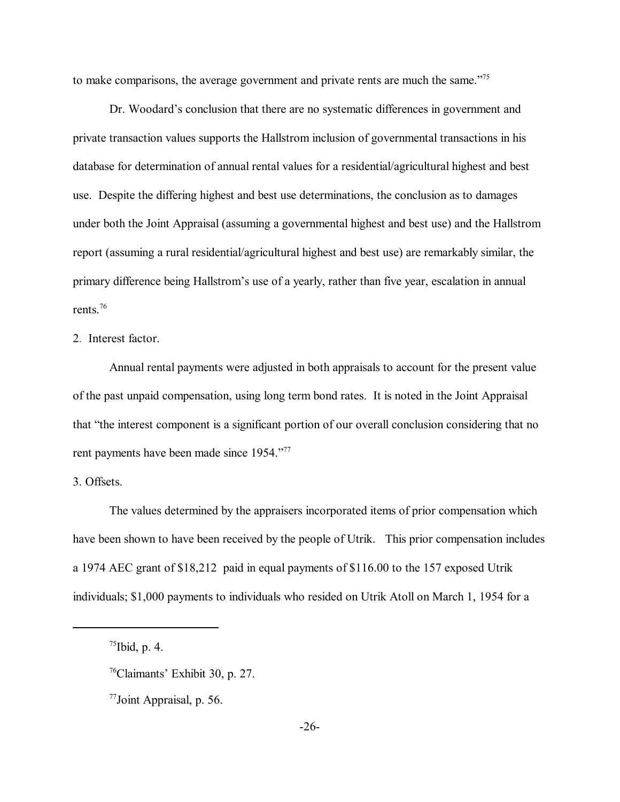to make comparisons, the average government and private rents are much the same.<sup> $75$ </sup>

Dr. Woodard's conclusion that there are no systematic differences in government and private transaction values supports the Hallstrom inclusion of governmental transactions in his database for determination of annual rental values for a residential/agricultural highest and best use. Despite the differing highest and best use determinations, the conclusion as to damages under both the Joint Appraisal (assuming a governmental highest and best use) and the Hallstrom report (assuming a rural residential/agricultural highest and best use) are remarkably similar, the primary difference being Hallstrom's use of a yearly, rather than five year, escalation in annual rents.76

2. Interest factor.

Annual rental payments were adjusted in both appraisals to account for the present value of the past unpaid compensation, using long term bond rates. It is noted in the Joint Appraisal that "the interest component is a significant portion of our overall conclusion considering that no rent payments have been made since 1954.<sup>777</sup>

3. Offsets.

The values determined by the appraisers incorporated items of prior compensation which have been shown to have been received by the people of Utrik. This prior compensation includes a 1974 AEC grant of \$18,212 paid in equal payments of \$116.00 to the 157 exposed Utrik individuals; \$1,000 payments to individuals who resided on Utrik Atoll on March 1, 1954 for a

 $<sup>75</sup>Ibid, p. 4.$ </sup>

 $76$ Claimants' Exhibit 30, p. 27.

<sup>77</sup>Joint Appraisal, p. 56.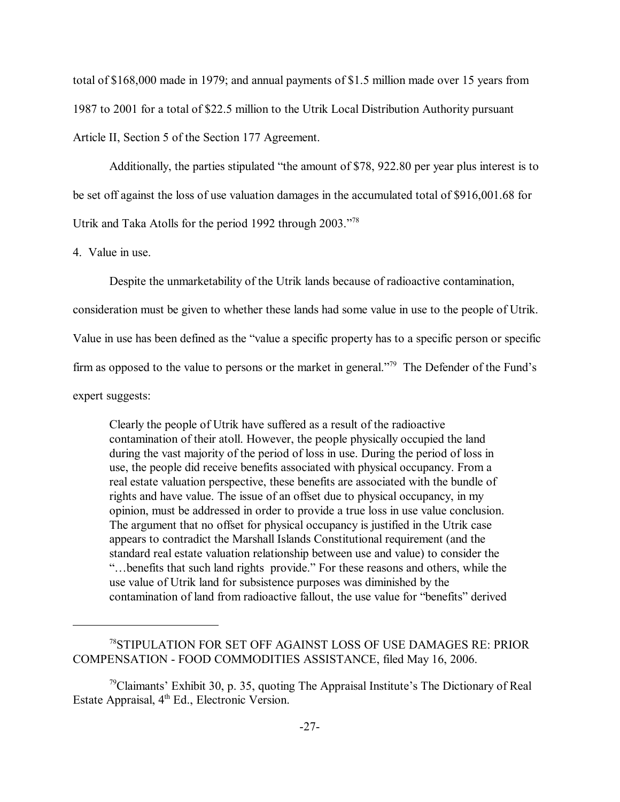total of \$168,000 made in 1979; and annual payments of \$1.5 million made over 15 years from 1987 to 2001 for a total of \$22.5 million to the Utrik Local Distribution Authority pursuant Article II, Section 5 of the Section 177 Agreement.

Additionally, the parties stipulated "the amount of  $$78, 922.80$  per year plus interest is to be set off against the loss of use valuation damages in the accumulated total of \$916,001.68 for Utrik and Taka Atolls for the period 1992 through  $2003.^{178}$ 

4. Value in use.

Despite the unmarketability of the Utrik lands because of radioactive contamination,

consideration must be given to whether these lands had some value in use to the people of Utrik.

Value in use has been defined as the "value a specific property has to a specific person or specific

firm as opposed to the value to persons or the market in general.<sup> $779$ </sup> The Defender of the Fund's

expert suggests:

Clearly the people of Utrik have suffered as a result of the radioactive contamination of their atoll. However, the people physically occupied the land during the vast majority of the period of loss in use. During the period of loss in use, the people did receive benefits associated with physical occupancy. From a real estate valuation perspective, these benefits are associated with the bundle of rights and have value. The issue of an offset due to physical occupancy, in my opinion, must be addressed in order to provide a true loss in use value conclusion. The argument that no offset for physical occupancy is justified in the Utrik case appears to contradict the Marshall Islands Constitutional requirement (and the standard real estate valuation relationship between use and value) to consider the ìÖbenefits that such land rights provide.î For these reasons and others, while the use value of Utrik land for subsistence purposes was diminished by the contamination of land from radioactive fallout, the use value for "benefits" derived

<sup>78</sup>STIPULATION FOR SET OFF AGAINST LOSS OF USE DAMAGES RE: PRIOR COMPENSATION - FOOD COMMODITIES ASSISTANCE, filed May 16, 2006.

 $79$ Claimants<sup>7</sup> Exhibit 30, p. 35, quoting The Appraisal Institute's The Dictionary of Real Estate Appraisal, 4<sup>th</sup> Ed., Electronic Version.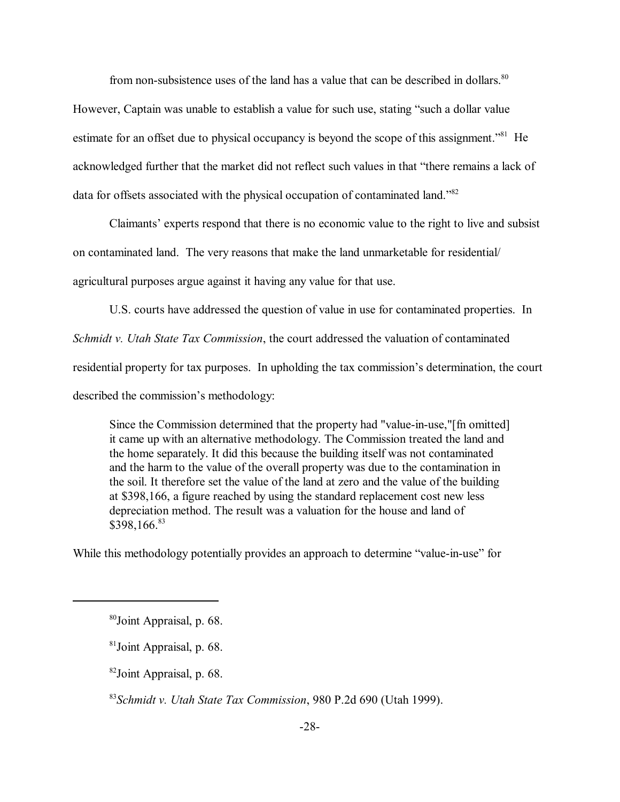from non-subsistence uses of the land has a value that can be described in dollars.<sup>80</sup>

However, Captain was unable to establish a value for such use, stating "such a dollar value estimate for an offset due to physical occupancy is beyond the scope of this assignment.<sup>81</sup> He acknowledged further that the market did not reflect such values in that "there remains a lack of data for offsets associated with the physical occupation of contaminated land.<sup>882</sup>

Claimants' experts respond that there is no economic value to the right to live and subsist on contaminated land. The very reasons that make the land unmarketable for residential/ agricultural purposes argue against it having any value for that use.

U.S. courts have addressed the question of value in use for contaminated properties. In

*Schmidt v. Utah State Tax Commission*, the court addressed the valuation of contaminated

residential property for tax purposes. In upholding the tax commission's determination, the court

described the commission's methodology:

Since the Commission determined that the property had "value-in-use,"[fn omitted] it came up with an alternative methodology. The Commission treated the land and the home separately. It did this because the building itself was not contaminated and the harm to the value of the overall property was due to the contamination in the soil. It therefore set the value of the land at zero and the value of the building at \$398,166, a figure reached by using the standard replacement cost new less depreciation method. The result was a valuation for the house and land of \$398,166.83

While this methodology potentially provides an approach to determine "value-in-use" for

82Joint Appraisal, p. 68.

<sup>83</sup>*Schmidt v. Utah State Tax Commission*, 980 P.2d 690 (Utah 1999).

<sup>80</sup>Joint Appraisal, p. 68.

<sup>81</sup>Joint Appraisal, p. 68.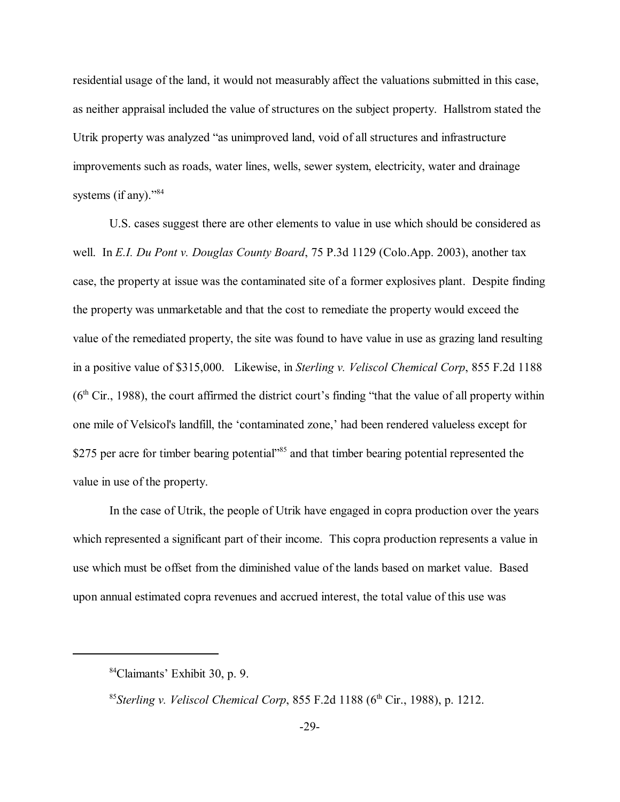residential usage of the land, it would not measurably affect the valuations submitted in this case, as neither appraisal included the value of structures on the subject property. Hallstrom stated the Utrik property was analyzed "as unimproved land, void of all structures and infrastructure improvements such as roads, water lines, wells, sewer system, electricity, water and drainage systems (if any). $\frac{84}{184}$ 

U.S. cases suggest there are other elements to value in use which should be considered as well. In *E.I. Du Pont v. Douglas County Board*, 75 P.3d 1129 (Colo.App. 2003), another tax case, the property at issue was the contaminated site of a former explosives plant. Despite finding the property was unmarketable and that the cost to remediate the property would exceed the value of the remediated property, the site was found to have value in use as grazing land resulting in a positive value of \$315,000. Likewise, in *Sterling v. Veliscol Chemical Corp*, 855 F.2d 1188  $(6<sup>th</sup> Cir., 1988)$ , the court affirmed the district court's finding "that the value of all property within one mile of Velsicol's landfill, the 'contaminated zone,' had been rendered valueless except for \$275 per acre for timber bearing potential<sup>85</sup> and that timber bearing potential represented the value in use of the property.

In the case of Utrik, the people of Utrik have engaged in copra production over the years which represented a significant part of their income. This copra production represents a value in use which must be offset from the diminished value of the lands based on market value. Based upon annual estimated copra revenues and accrued interest, the total value of this use was

<sup>&</sup>lt;sup>84</sup>Claimants' Exhibit 30, p. 9.

<sup>&</sup>lt;sup>85</sup> Sterling v. *Veliscol Chemical Corp*, 855 F.2d 1188 ( $6<sup>th</sup> Cir$ ., 1988), p. 1212.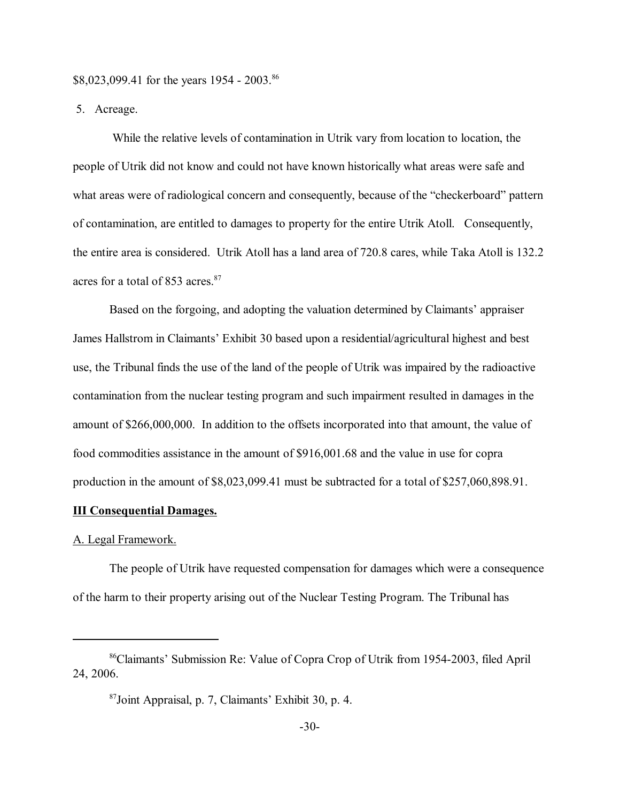\$8,023,099.41 for the years 1954 - 2003.<sup>86</sup>

5. Acreage.

 While the relative levels of contamination in Utrik vary from location to location, the people of Utrik did not know and could not have known historically what areas were safe and what areas were of radiological concern and consequently, because of the "checkerboard" pattern of contamination, are entitled to damages to property for the entire Utrik Atoll. Consequently, the entire area is considered. Utrik Atoll has a land area of 720.8 cares, while Taka Atoll is 132.2 acres for a total of 853 acres.<sup>87</sup>

Based on the forgoing, and adopting the valuation determined by Claimants' appraiser James Hallstrom in Claimants' Exhibit 30 based upon a residential/agricultural highest and best use, the Tribunal finds the use of the land of the people of Utrik was impaired by the radioactive contamination from the nuclear testing program and such impairment resulted in damages in the amount of \$266,000,000. In addition to the offsets incorporated into that amount, the value of food commodities assistance in the amount of \$916,001.68 and the value in use for copra production in the amount of \$8,023,099.41 must be subtracted for a total of \$257,060,898.91.

#### **III Consequential Damages.**

### A. Legal Framework.

The people of Utrik have requested compensation for damages which were a consequence of the harm to their property arising out of the Nuclear Testing Program. The Tribunal has

<sup>&</sup>lt;sup>86</sup>Claimants<sup>'</sup> Submission Re: Value of Copra Crop of Utrik from 1954-2003, filed April 24, 2006.

 $87$ Joint Appraisal, p. 7, Claimants' Exhibit 30, p. 4.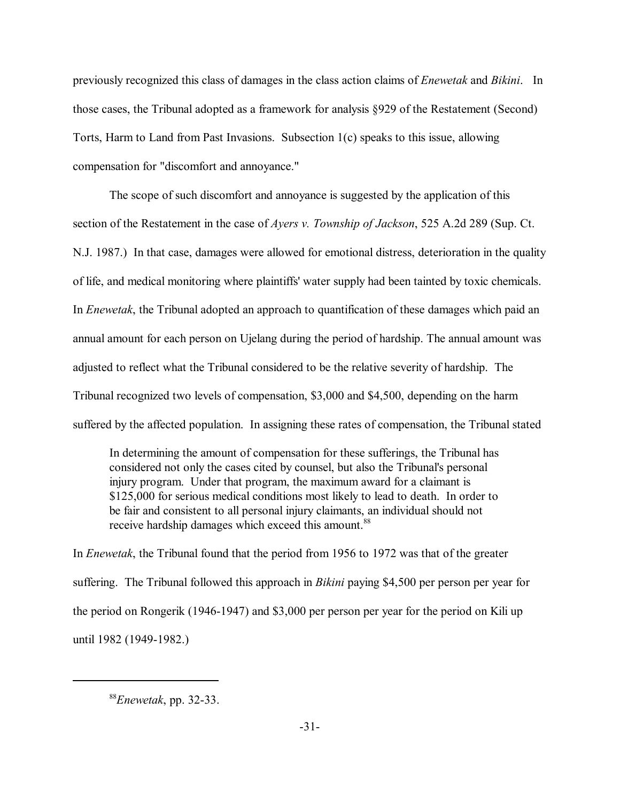previously recognized this class of damages in the class action claims of *Enewetak* and *Bikini*. In those cases, the Tribunal adopted as a framework for analysis ß929 of the Restatement (Second) Torts, Harm to Land from Past Invasions. Subsection 1(c) speaks to this issue, allowing compensation for "discomfort and annoyance."

 The scope of such discomfort and annoyance is suggested by the application of this section of the Restatement in the case of *Ayers v. Township of Jackson*, 525 A.2d 289 (Sup. Ct. N.J. 1987.) In that case, damages were allowed for emotional distress, deterioration in the quality of life, and medical monitoring where plaintiffs' water supply had been tainted by toxic chemicals. In *Enewetak*, the Tribunal adopted an approach to quantification of these damages which paid an annual amount for each person on Ujelang during the period of hardship. The annual amount was adjusted to reflect what the Tribunal considered to be the relative severity of hardship. The Tribunal recognized two levels of compensation, \$3,000 and \$4,500, depending on the harm suffered by the affected population. In assigning these rates of compensation, the Tribunal stated

In determining the amount of compensation for these sufferings, the Tribunal has considered not only the cases cited by counsel, but also the Tribunal's personal injury program. Under that program, the maximum award for a claimant is \$125,000 for serious medical conditions most likely to lead to death. In order to be fair and consistent to all personal injury claimants, an individual should not receive hardship damages which exceed this amount.<sup>88</sup>

In *Enewetak*, the Tribunal found that the period from 1956 to 1972 was that of the greater suffering. The Tribunal followed this approach in *Bikini* paying \$4,500 per person per year for the period on Rongerik (1946-1947) and \$3,000 per person per year for the period on Kili up until 1982 (1949-1982.)

<sup>88</sup>*Enewetak*, pp. 32-33.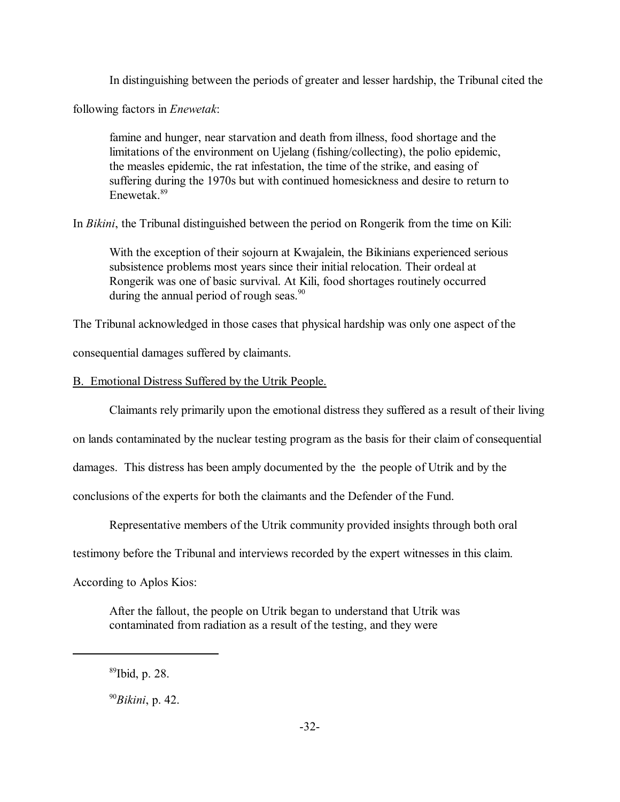In distinguishing between the periods of greater and lesser hardship, the Tribunal cited the

following factors in *Enewetak*:

famine and hunger, near starvation and death from illness, food shortage and the limitations of the environment on Ujelang (fishing/collecting), the polio epidemic, the measles epidemic, the rat infestation, the time of the strike, and easing of suffering during the 1970s but with continued homesickness and desire to return to Enewetak<sup>89</sup>

In *Bikini*, the Tribunal distinguished between the period on Rongerik from the time on Kili:

With the exception of their sojourn at Kwajalein, the Bikinians experienced serious subsistence problems most years since their initial relocation. Their ordeal at Rongerik was one of basic survival. At Kili, food shortages routinely occurred during the annual period of rough seas. $90$ 

The Tribunal acknowledged in those cases that physical hardship was only one aspect of the

consequential damages suffered by claimants.

B. Emotional Distress Suffered by the Utrik People.

Claimants rely primarily upon the emotional distress they suffered as a result of their living

on lands contaminated by the nuclear testing program as the basis for their claim of consequential

damages. This distress has been amply documented by the the people of Utrik and by the

conclusions of the experts for both the claimants and the Defender of the Fund.

Representative members of the Utrik community provided insights through both oral

testimony before the Tribunal and interviews recorded by the expert witnesses in this claim.

According to Aplos Kios:

After the fallout, the people on Utrik began to understand that Utrik was contaminated from radiation as a result of the testing, and they were

<sup>89</sup>Ibid, p. 28.

<sup>90</sup>*Bikini*, p. 42.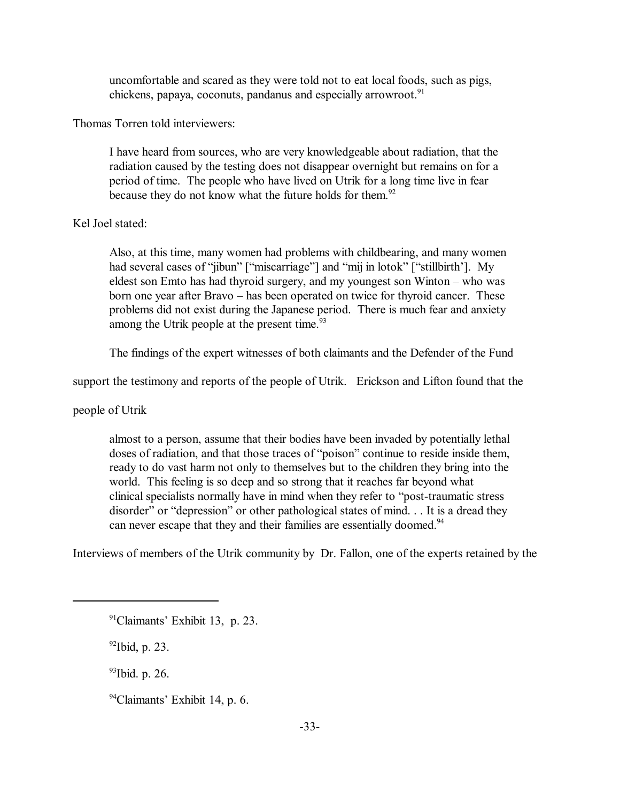uncomfortable and scared as they were told not to eat local foods, such as pigs, chickens, papaya, coconuts, pandanus and especially arrowroot.<sup>91</sup>

Thomas Torren told interviewers:

I have heard from sources, who are very knowledgeable about radiation, that the radiation caused by the testing does not disappear overnight but remains on for a period of time. The people who have lived on Utrik for a long time live in fear because they do not know what the future holds for them.<sup>92</sup>

# Kel Joel stated:

Also, at this time, many women had problems with childbearing, and many women had several cases of "jibun" ["miscarriage"] and "mij in lotok" ["stillbirth']. My eldest son Emto has had thyroid surgery, and my youngest son Winton  $-$  who was born one year after Bravo – has been operated on twice for thyroid cancer. These problems did not exist during the Japanese period. There is much fear and anxiety among the Utrik people at the present time.<sup>93</sup>

The findings of the expert witnesses of both claimants and the Defender of the Fund

support the testimony and reports of the people of Utrik. Erickson and Lifton found that the

people of Utrik

almost to a person, assume that their bodies have been invaded by potentially lethal doses of radiation, and that those traces of "poison" continue to reside inside them, ready to do vast harm not only to themselves but to the children they bring into the world. This feeling is so deep and so strong that it reaches far beyond what clinical specialists normally have in mind when they refer to "post-traumatic stress" disorder" or "depression" or other pathological states of mind. . . It is a dread they can never escape that they and their families are essentially doomed.<sup>94</sup>

Interviews of members of the Utrik community by Dr. Fallon, one of the experts retained by the

 $^{92}$ Ibid, p. 23.

93Ibid. p. 26.

 $94$ Claimants' Exhibit 14, p. 6.

 $91$ Claimants' Exhibit 13, p. 23.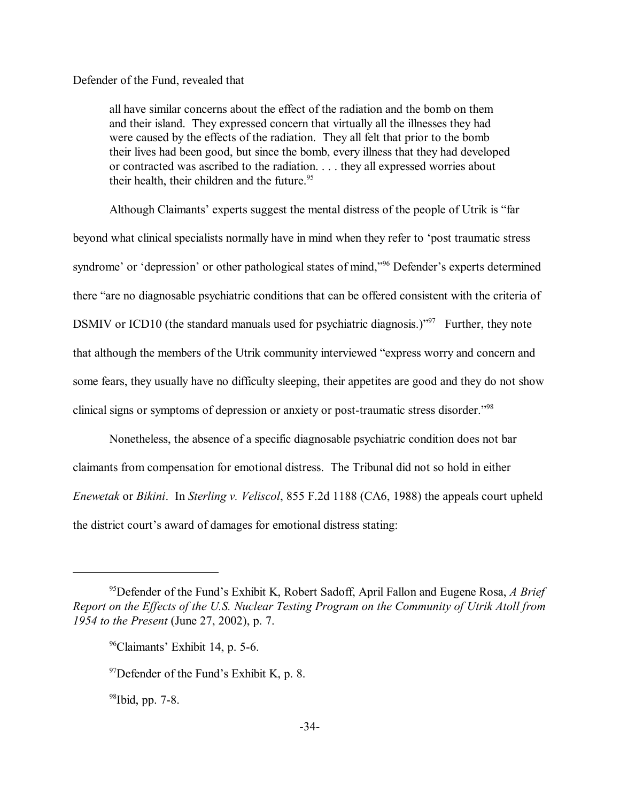## Defender of the Fund, revealed that

all have similar concerns about the effect of the radiation and the bomb on them and their island. They expressed concern that virtually all the illnesses they had were caused by the effects of the radiation. They all felt that prior to the bomb their lives had been good, but since the bomb, every illness that they had developed or contracted was ascribed to the radiation. . . . they all expressed worries about their health, their children and the future. $95$ 

Although Claimants' experts suggest the mental distress of the people of Utrik is "far beyond what clinical specialists normally have in mind when they refer to 'post traumatic stress syndrome' or 'depression' or other pathological states of mind,<sup>396</sup> Defender's experts determined there "are no diagnosable psychiatric conditions that can be offered consistent with the criteria of DSMIV or ICD10 (the standard manuals used for psychiatric diagnosis.)<sup> $297$ </sup> Further, they note that although the members of the Utrik community interviewed "express worry and concern and some fears, they usually have no difficulty sleeping, their appetites are good and they do not show clinical signs or symptoms of depression or anxiety or post-traumatic stress disorder.<sup>798</sup>

Nonetheless, the absence of a specific diagnosable psychiatric condition does not bar claimants from compensation for emotional distress. The Tribunal did not so hold in either *Enewetak* or *Bikini*. In *Sterling v. Veliscol*, 855 F.2d 1188 (CA6, 1988) the appeals court upheld the district court's award of damages for emotional distress stating:

 $98$ Ibid, pp. 7-8.

<sup>&</sup>lt;sup>95</sup>Defender of the Fund's Exhibit K, Robert Sadoff, April Fallon and Eugene Rosa, A Brief *Report on the Effects of the U.S. Nuclear Testing Program on the Community of Utrik Atoll from 1954 to the Present* (June 27, 2002), p. 7.

 $96$ Claimants' Exhibit 14, p. 5-6.

 $97$ Defender of the Fund's Exhibit K, p. 8.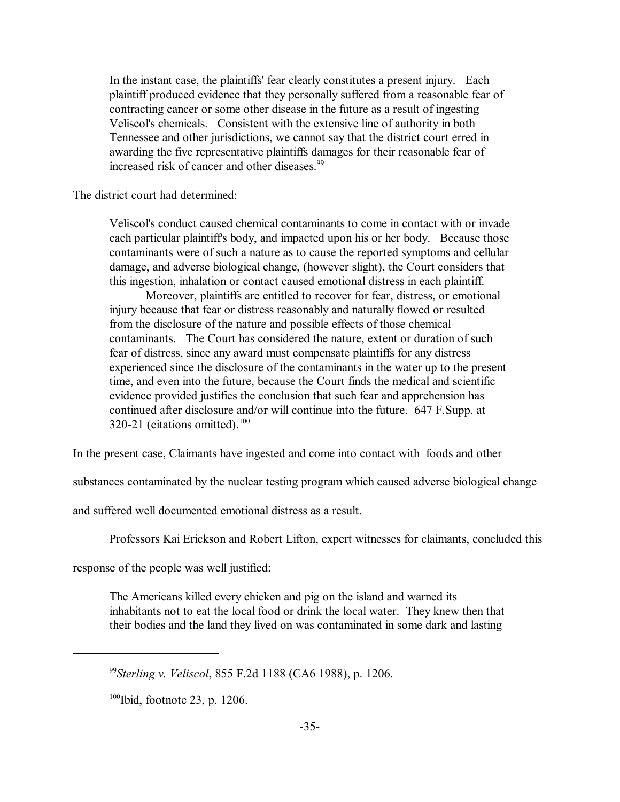In the instant case, the plaintiffs' fear clearly constitutes a present injury. Each plaintiff produced evidence that they personally suffered from a reasonable fear of contracting cancer or some other disease in the future as a result of ingesting Veliscol's chemicals. Consistent with the extensive line of authority in both Tennessee and other jurisdictions, we cannot say that the district court erred in awarding the five representative plaintiffs damages for their reasonable fear of increased risk of cancer and other diseases.<sup>99</sup>

The district court had determined:

Veliscol's conduct caused chemical contaminants to come in contact with or invade each particular plaintiff's body, and impacted upon his or her body. Because those contaminants were of such a nature as to cause the reported symptoms and cellular damage, and adverse biological change, (however slight), the Court considers that this ingestion, inhalation or contact caused emotional distress in each plaintiff.

Moreover, plaintiffs are entitled to recover for fear, distress, or emotional injury because that fear or distress reasonably and naturally flowed or resulted from the disclosure of the nature and possible effects of those chemical contaminants. The Court has considered the nature, extent or duration of such fear of distress, since any award must compensate plaintiffs for any distress experienced since the disclosure of the contaminants in the water up to the present time, and even into the future, because the Court finds the medical and scientific evidence provided justifies the conclusion that such fear and apprehension has continued after disclosure and/or will continue into the future. 647 F.Supp. at 320-21 (citations omitted).<sup>100</sup>

In the present case, Claimants have ingested and come into contact with foods and other

substances contaminated by the nuclear testing program which caused adverse biological change

and suffered well documented emotional distress as a result.

Professors Kai Erickson and Robert Lifton, expert witnesses for claimants, concluded this

response of the people was well justified:

The Americans killed every chicken and pig on the island and warned its inhabitants not to eat the local food or drink the local water. They knew then that their bodies and the land they lived on was contaminated in some dark and lasting

 $100$ Ibid, footnote 23, p. 1206.

<sup>99</sup>*Sterling v. Veliscol*, 855 F.2d 1188 (CA6 1988), p. 1206.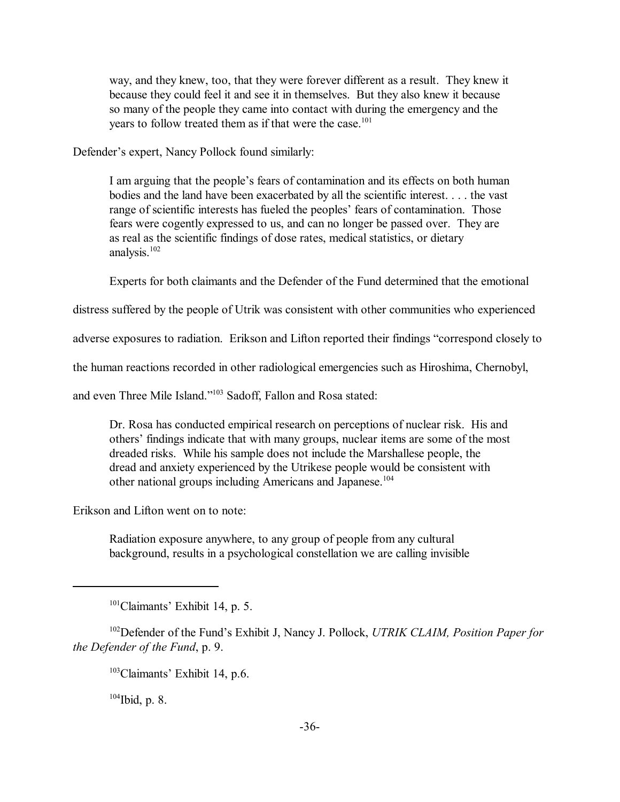way, and they knew, too, that they were forever different as a result. They knew it because they could feel it and see it in themselves. But they also knew it because so many of the people they came into contact with during the emergency and the years to follow treated them as if that were the case.<sup>101</sup>

Defender's expert, Nancy Pollock found similarly:

I am arguing that the people's fears of contamination and its effects on both human bodies and the land have been exacerbated by all the scientific interest. . . . the vast range of scientific interests has fueled the peoples' fears of contamination. Those fears were cogently expressed to us, and can no longer be passed over. They are as real as the scientific findings of dose rates, medical statistics, or dietary analysis.<sup>102</sup>

Experts for both claimants and the Defender of the Fund determined that the emotional

distress suffered by the people of Utrik was consistent with other communities who experienced

adverse exposures to radiation. Erikson and Lifton reported their findings "correspond closely to

the human reactions recorded in other radiological emergencies such as Hiroshima, Chernobyl,

and even Three Mile Island."<sup>103</sup> Sadoff, Fallon and Rosa stated:

Dr. Rosa has conducted empirical research on perceptions of nuclear risk. His and others' findings indicate that with many groups, nuclear items are some of the most dreaded risks. While his sample does not include the Marshallese people, the dread and anxiety experienced by the Utrikese people would be consistent with other national groups including Americans and Japanese.<sup>104</sup>

Erikson and Lifton went on to note:

Radiation exposure anywhere, to any group of people from any cultural background, results in a psychological constellation we are calling invisible

<sup>102</sup>Defender of the Fund's Exhibit J, Nancy J. Pollock, *UTRIK CLAIM, Position Paper for the Defender of the Fund*, p. 9.

 $103$ Claimants' Exhibit 14, p.6.

 $104$  Ibid, p. 8.

 $101$ Claimants' Exhibit 14, p. 5.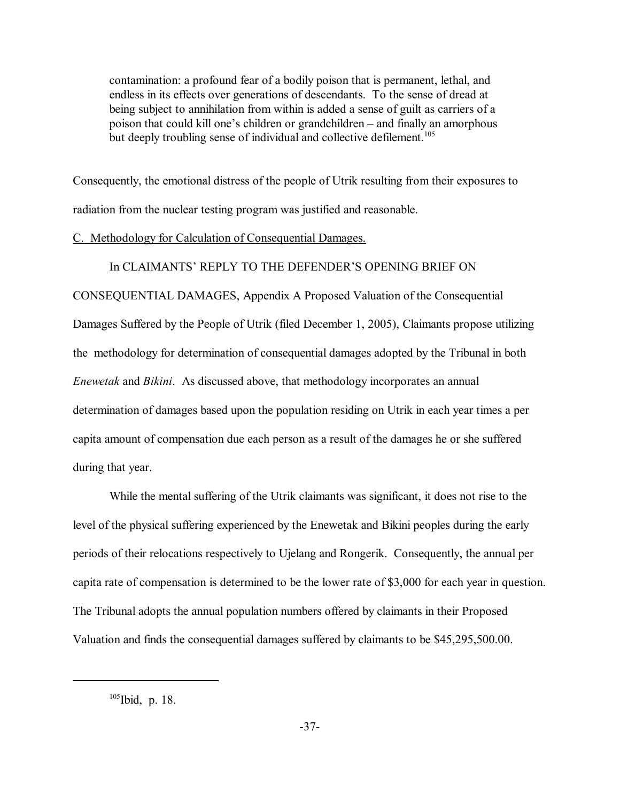contamination: a profound fear of a bodily poison that is permanent, lethal, and endless in its effects over generations of descendants. To the sense of dread at being subject to annihilation from within is added a sense of guilt as carriers of a poison that could kill one's children or grandchildren – and finally an amorphous but deeply troubling sense of individual and collective defilement.<sup>105</sup>

Consequently, the emotional distress of the people of Utrik resulting from their exposures to radiation from the nuclear testing program was justified and reasonable.

#### C. Methodology for Calculation of Consequential Damages.

#### In CLAIMANTS' REPLY TO THE DEFENDER'S OPENING BRIEF ON

CONSEQUENTIAL DAMAGES, Appendix A Proposed Valuation of the Consequential Damages Suffered by the People of Utrik (filed December 1, 2005), Claimants propose utilizing the methodology for determination of consequential damages adopted by the Tribunal in both *Enewetak* and *Bikini*. As discussed above, that methodology incorporates an annual determination of damages based upon the population residing on Utrik in each year times a per capita amount of compensation due each person as a result of the damages he or she suffered during that year.

While the mental suffering of the Utrik claimants was significant, it does not rise to the level of the physical suffering experienced by the Enewetak and Bikini peoples during the early periods of their relocations respectively to Ujelang and Rongerik. Consequently, the annual per capita rate of compensation is determined to be the lower rate of \$3,000 for each year in question. The Tribunal adopts the annual population numbers offered by claimants in their Proposed Valuation and finds the consequential damages suffered by claimants to be \$45,295,500.00.

<sup>105</sup>Ibid, p. 18.